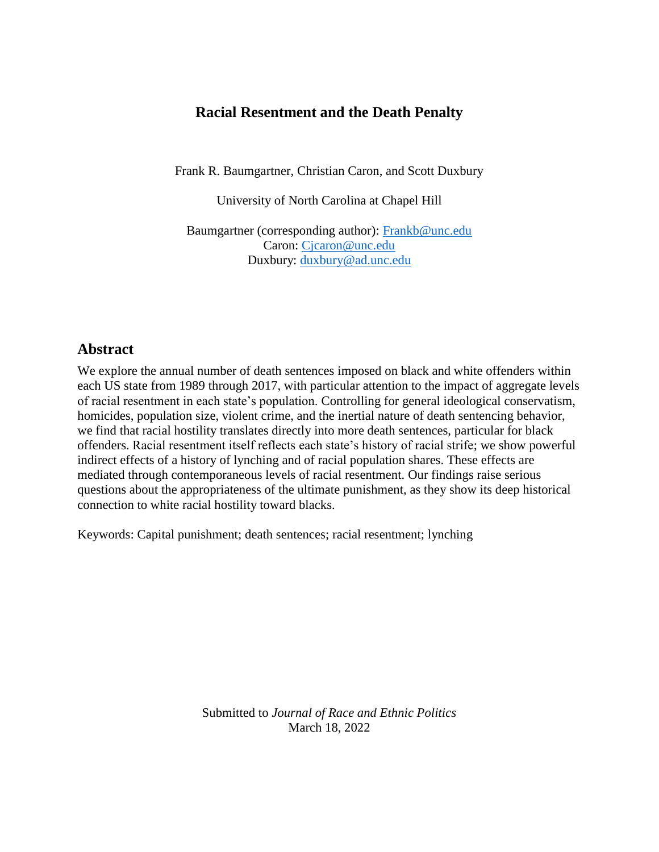# **Racial Resentment and the Death Penalty**

Frank R. Baumgartner, Christian Caron, and Scott Duxbury

University of North Carolina at Chapel Hill

Baumgartner (corresponding author): [Frankb@unc.edu](mailto:Frankb@unc.edu) Caron: [Cjcaron@unc.edu](mailto:Cjcaron@unc.edu) Duxbury: [duxbury@ad.unc.edu](mailto:duxbury@ad.unc.edu)

# **Abstract**

We explore the annual number of death sentences imposed on black and white offenders within each US state from 1989 through 2017, with particular attention to the impact of aggregate levels of racial resentment in each state's population. Controlling for general ideological conservatism, homicides, population size, violent crime, and the inertial nature of death sentencing behavior, we find that racial hostility translates directly into more death sentences, particular for black offenders. Racial resentment itself reflects each state's history of racial strife; we show powerful indirect effects of a history of lynching and of racial population shares. These effects are mediated through contemporaneous levels of racial resentment. Our findings raise serious questions about the appropriateness of the ultimate punishment, as they show its deep historical connection to white racial hostility toward blacks.

Keywords: Capital punishment; death sentences; racial resentment; lynching

Submitted to *Journal of Race and Ethnic Politics* March 18, 2022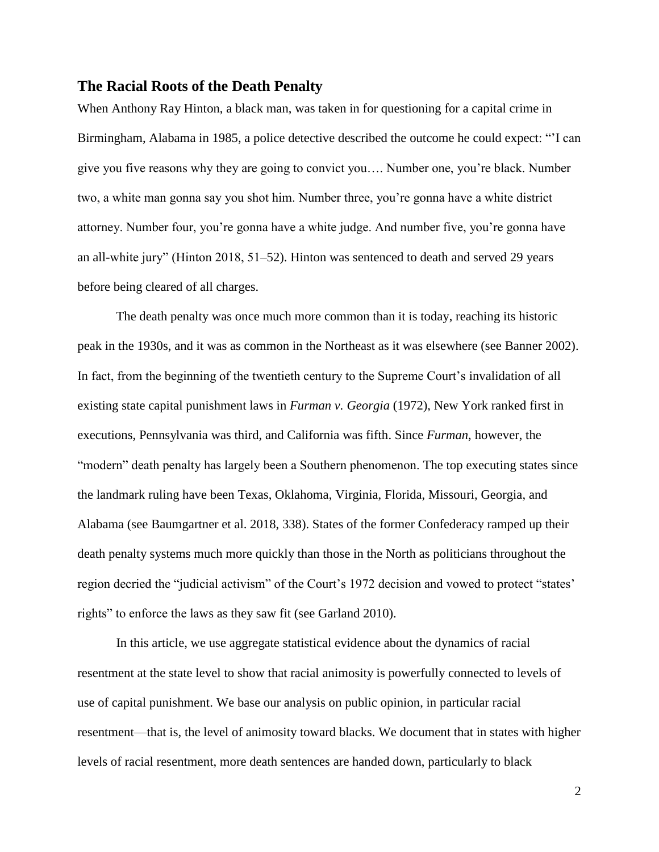## **The Racial Roots of the Death Penalty**

When Anthony Ray Hinton, a black man, was taken in for questioning for a capital crime in Birmingham, Alabama in 1985, a police detective described the outcome he could expect: "'I can give you five reasons why they are going to convict you…. Number one, you're black. Number two, a white man gonna say you shot him. Number three, you're gonna have a white district attorney. Number four, you're gonna have a white judge. And number five, you're gonna have an all-white jury" (Hinton 2018, 51–52). Hinton was sentenced to death and served 29 years before being cleared of all charges.

The death penalty was once much more common than it is today, reaching its historic peak in the 1930s, and it was as common in the Northeast as it was elsewhere (see Banner 2002). In fact, from the beginning of the twentieth century to the Supreme Court's invalidation of all existing state capital punishment laws in *Furman v. Georgia* (1972), New York ranked first in executions, Pennsylvania was third, and California was fifth. Since *Furman*, however, the "modern" death penalty has largely been a Southern phenomenon. The top executing states since the landmark ruling have been Texas, Oklahoma, Virginia, Florida, Missouri, Georgia, and Alabama (see Baumgartner et al. 2018, 338). States of the former Confederacy ramped up their death penalty systems much more quickly than those in the North as politicians throughout the region decried the "judicial activism" of the Court's 1972 decision and vowed to protect "states' rights" to enforce the laws as they saw fit (see Garland 2010).

In this article, we use aggregate statistical evidence about the dynamics of racial resentment at the state level to show that racial animosity is powerfully connected to levels of use of capital punishment. We base our analysis on public opinion, in particular racial resentment—that is, the level of animosity toward blacks. We document that in states with higher levels of racial resentment, more death sentences are handed down, particularly to black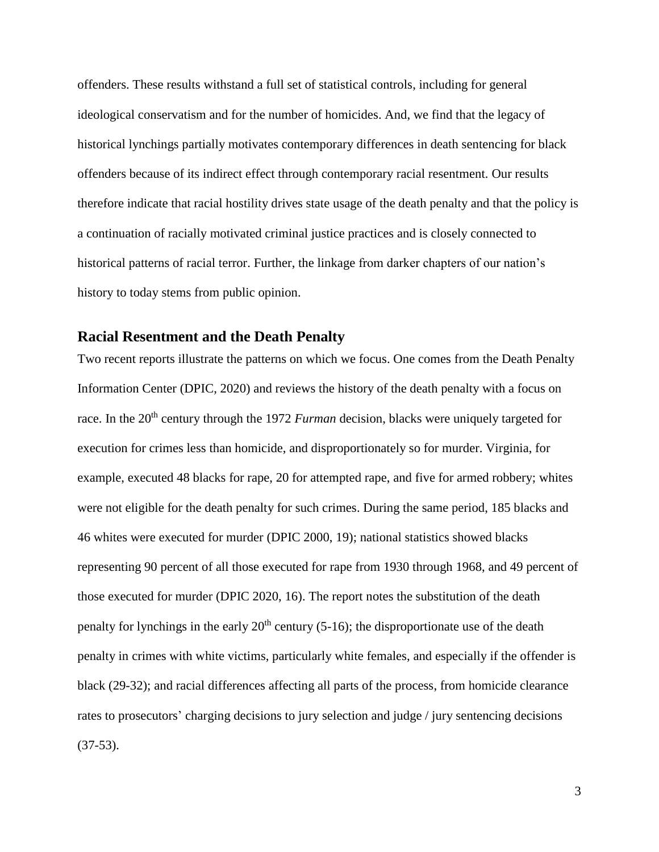offenders. These results withstand a full set of statistical controls, including for general ideological conservatism and for the number of homicides. And, we find that the legacy of historical lynchings partially motivates contemporary differences in death sentencing for black offenders because of its indirect effect through contemporary racial resentment. Our results therefore indicate that racial hostility drives state usage of the death penalty and that the policy is a continuation of racially motivated criminal justice practices and is closely connected to historical patterns of racial terror. Further, the linkage from darker chapters of our nation's history to today stems from public opinion.

# **Racial Resentment and the Death Penalty**

Two recent reports illustrate the patterns on which we focus. One comes from the Death Penalty Information Center (DPIC, 2020) and reviews the history of the death penalty with a focus on race. In the 20<sup>th</sup> century through the 1972 *Furman* decision, blacks were uniquely targeted for execution for crimes less than homicide, and disproportionately so for murder. Virginia, for example, executed 48 blacks for rape, 20 for attempted rape, and five for armed robbery; whites were not eligible for the death penalty for such crimes. During the same period, 185 blacks and 46 whites were executed for murder (DPIC 2000, 19); national statistics showed blacks representing 90 percent of all those executed for rape from 1930 through 1968, and 49 percent of those executed for murder (DPIC 2020, 16). The report notes the substitution of the death penalty for lynchings in the early  $20<sup>th</sup>$  century (5-16); the disproportionate use of the death penalty in crimes with white victims, particularly white females, and especially if the offender is black (29-32); and racial differences affecting all parts of the process, from homicide clearance rates to prosecutors' charging decisions to jury selection and judge / jury sentencing decisions (37-53).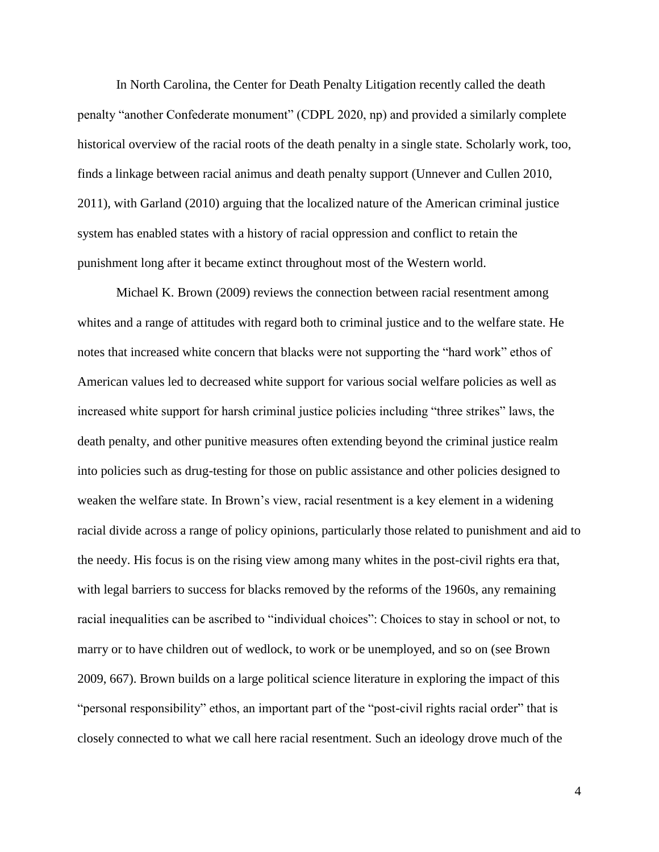In North Carolina, the Center for Death Penalty Litigation recently called the death penalty "another Confederate monument" (CDPL 2020, np) and provided a similarly complete historical overview of the racial roots of the death penalty in a single state. Scholarly work, too, finds a linkage between racial animus and death penalty support (Unnever and Cullen 2010, 2011), with Garland (2010) arguing that the localized nature of the American criminal justice system has enabled states with a history of racial oppression and conflict to retain the punishment long after it became extinct throughout most of the Western world.

Michael K. Brown (2009) reviews the connection between racial resentment among whites and a range of attitudes with regard both to criminal justice and to the welfare state. He notes that increased white concern that blacks were not supporting the "hard work" ethos of American values led to decreased white support for various social welfare policies as well as increased white support for harsh criminal justice policies including "three strikes" laws, the death penalty, and other punitive measures often extending beyond the criminal justice realm into policies such as drug-testing for those on public assistance and other policies designed to weaken the welfare state. In Brown's view, racial resentment is a key element in a widening racial divide across a range of policy opinions, particularly those related to punishment and aid to the needy. His focus is on the rising view among many whites in the post-civil rights era that, with legal barriers to success for blacks removed by the reforms of the 1960s, any remaining racial inequalities can be ascribed to "individual choices": Choices to stay in school or not, to marry or to have children out of wedlock, to work or be unemployed, and so on (see Brown 2009, 667). Brown builds on a large political science literature in exploring the impact of this "personal responsibility" ethos, an important part of the "post-civil rights racial order" that is closely connected to what we call here racial resentment. Such an ideology drove much of the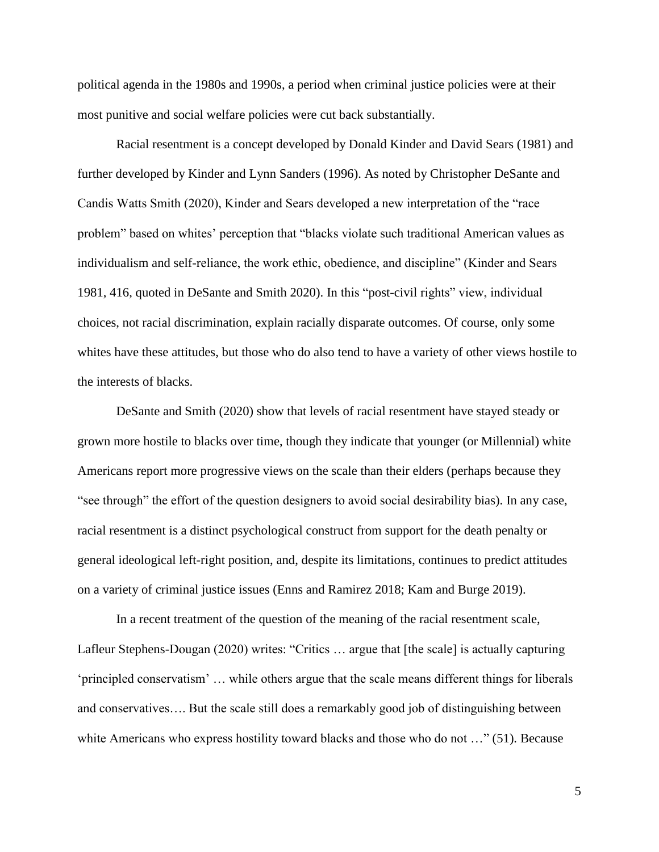political agenda in the 1980s and 1990s, a period when criminal justice policies were at their most punitive and social welfare policies were cut back substantially.

Racial resentment is a concept developed by Donald Kinder and David Sears (1981) and further developed by Kinder and Lynn Sanders (1996). As noted by Christopher DeSante and Candis Watts Smith (2020), Kinder and Sears developed a new interpretation of the "race problem" based on whites' perception that "blacks violate such traditional American values as individualism and self-reliance, the work ethic, obedience, and discipline" (Kinder and Sears 1981, 416, quoted in DeSante and Smith 2020). In this "post-civil rights" view, individual choices, not racial discrimination, explain racially disparate outcomes. Of course, only some whites have these attitudes, but those who do also tend to have a variety of other views hostile to the interests of blacks.

DeSante and Smith (2020) show that levels of racial resentment have stayed steady or grown more hostile to blacks over time, though they indicate that younger (or Millennial) white Americans report more progressive views on the scale than their elders (perhaps because they "see through" the effort of the question designers to avoid social desirability bias). In any case, racial resentment is a distinct psychological construct from support for the death penalty or general ideological left-right position, and, despite its limitations, continues to predict attitudes on a variety of criminal justice issues (Enns and Ramirez 2018; Kam and Burge 2019).

In a recent treatment of the question of the meaning of the racial resentment scale, Lafleur Stephens-Dougan (2020) writes: "Critics … argue that [the scale] is actually capturing 'principled conservatism' … while others argue that the scale means different things for liberals and conservatives…. But the scale still does a remarkably good job of distinguishing between white Americans who express hostility toward blacks and those who do not ..." (51). Because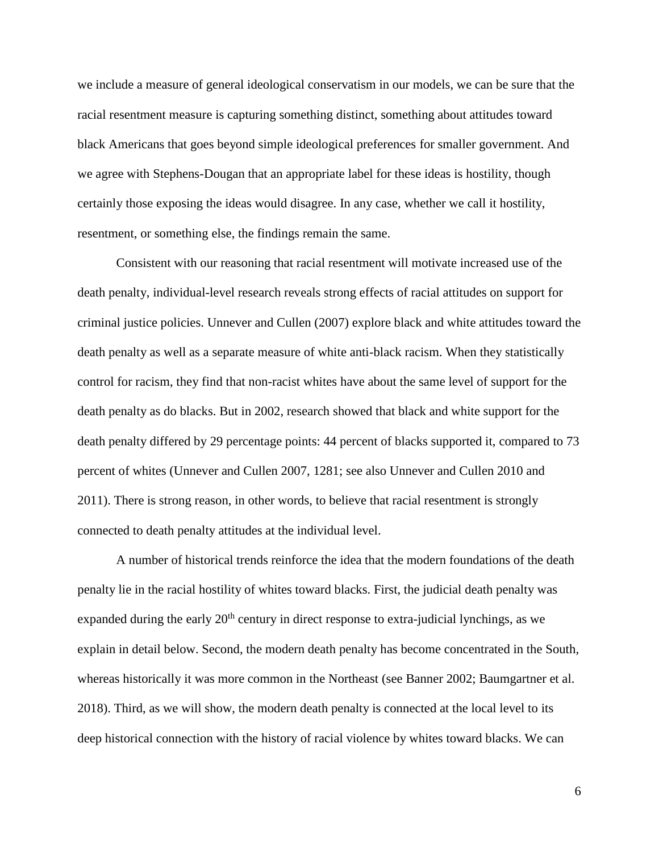we include a measure of general ideological conservatism in our models, we can be sure that the racial resentment measure is capturing something distinct, something about attitudes toward black Americans that goes beyond simple ideological preferences for smaller government. And we agree with Stephens-Dougan that an appropriate label for these ideas is hostility, though certainly those exposing the ideas would disagree. In any case, whether we call it hostility, resentment, or something else, the findings remain the same.

Consistent with our reasoning that racial resentment will motivate increased use of the death penalty, individual-level research reveals strong effects of racial attitudes on support for criminal justice policies. Unnever and Cullen (2007) explore black and white attitudes toward the death penalty as well as a separate measure of white anti-black racism. When they statistically control for racism, they find that non-racist whites have about the same level of support for the death penalty as do blacks. But in 2002, research showed that black and white support for the death penalty differed by 29 percentage points: 44 percent of blacks supported it, compared to 73 percent of whites (Unnever and Cullen 2007, 1281; see also Unnever and Cullen 2010 and 2011). There is strong reason, in other words, to believe that racial resentment is strongly connected to death penalty attitudes at the individual level.

A number of historical trends reinforce the idea that the modern foundations of the death penalty lie in the racial hostility of whites toward blacks. First, the judicial death penalty was expanded during the early  $20<sup>th</sup>$  century in direct response to extra-judicial lynchings, as we explain in detail below. Second, the modern death penalty has become concentrated in the South, whereas historically it was more common in the Northeast (see Banner 2002; Baumgartner et al. 2018). Third, as we will show, the modern death penalty is connected at the local level to its deep historical connection with the history of racial violence by whites toward blacks. We can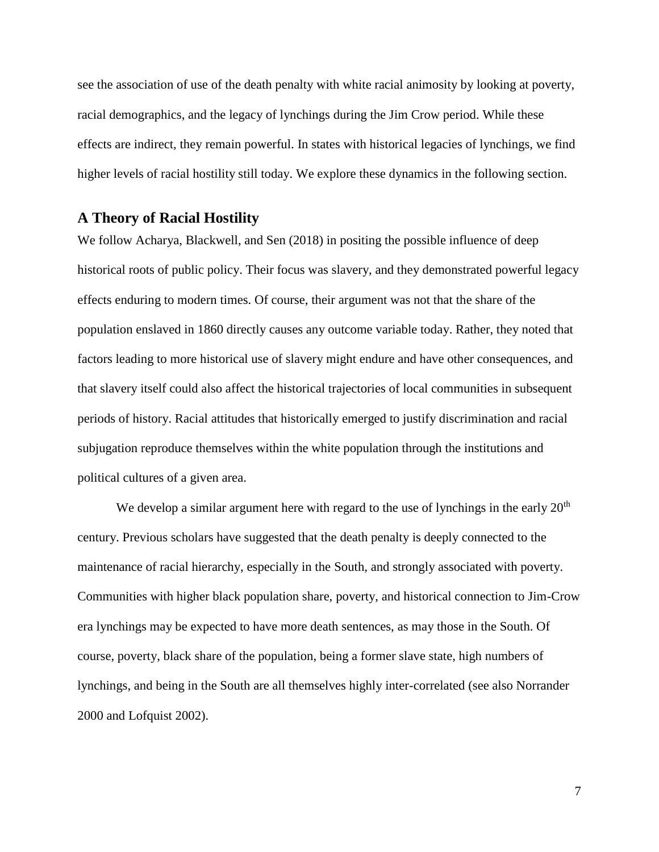see the association of use of the death penalty with white racial animosity by looking at poverty, racial demographics, and the legacy of lynchings during the Jim Crow period. While these effects are indirect, they remain powerful. In states with historical legacies of lynchings, we find higher levels of racial hostility still today. We explore these dynamics in the following section.

#### **A Theory of Racial Hostility**

We follow Acharya, Blackwell, and Sen (2018) in positing the possible influence of deep historical roots of public policy. Their focus was slavery, and they demonstrated powerful legacy effects enduring to modern times. Of course, their argument was not that the share of the population enslaved in 1860 directly causes any outcome variable today. Rather, they noted that factors leading to more historical use of slavery might endure and have other consequences, and that slavery itself could also affect the historical trajectories of local communities in subsequent periods of history. Racial attitudes that historically emerged to justify discrimination and racial subjugation reproduce themselves within the white population through the institutions and political cultures of a given area.

We develop a similar argument here with regard to the use of lynchings in the early  $20<sup>th</sup>$ century. Previous scholars have suggested that the death penalty is deeply connected to the maintenance of racial hierarchy, especially in the South, and strongly associated with poverty. Communities with higher black population share, poverty, and historical connection to Jim-Crow era lynchings may be expected to have more death sentences, as may those in the South. Of course, poverty, black share of the population, being a former slave state, high numbers of lynchings, and being in the South are all themselves highly inter-correlated (see also Norrander 2000 and Lofquist 2002).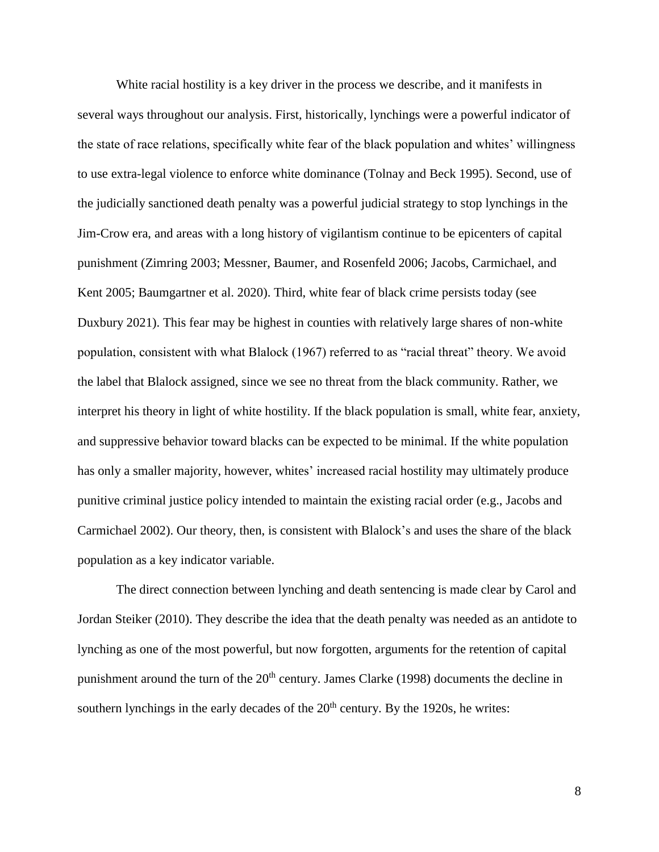White racial hostility is a key driver in the process we describe, and it manifests in several ways throughout our analysis. First, historically, lynchings were a powerful indicator of the state of race relations, specifically white fear of the black population and whites' willingness to use extra-legal violence to enforce white dominance (Tolnay and Beck 1995). Second, use of the judicially sanctioned death penalty was a powerful judicial strategy to stop lynchings in the Jim-Crow era, and areas with a long history of vigilantism continue to be epicenters of capital punishment (Zimring 2003; Messner, Baumer, and Rosenfeld 2006; Jacobs, Carmichael, and Kent 2005; Baumgartner et al. 2020). Third, white fear of black crime persists today (see Duxbury 2021). This fear may be highest in counties with relatively large shares of non-white population, consistent with what Blalock (1967) referred to as "racial threat" theory. We avoid the label that Blalock assigned, since we see no threat from the black community. Rather, we interpret his theory in light of white hostility. If the black population is small, white fear, anxiety, and suppressive behavior toward blacks can be expected to be minimal. If the white population has only a smaller majority, however, whites' increased racial hostility may ultimately produce punitive criminal justice policy intended to maintain the existing racial order (e.g., Jacobs and Carmichael 2002). Our theory, then, is consistent with Blalock's and uses the share of the black population as a key indicator variable.

The direct connection between lynching and death sentencing is made clear by Carol and Jordan Steiker (2010). They describe the idea that the death penalty was needed as an antidote to lynching as one of the most powerful, but now forgotten, arguments for the retention of capital punishment around the turn of the  $20<sup>th</sup>$  century. James Clarke (1998) documents the decline in southern lynchings in the early decades of the  $20<sup>th</sup>$  century. By the 1920s, he writes: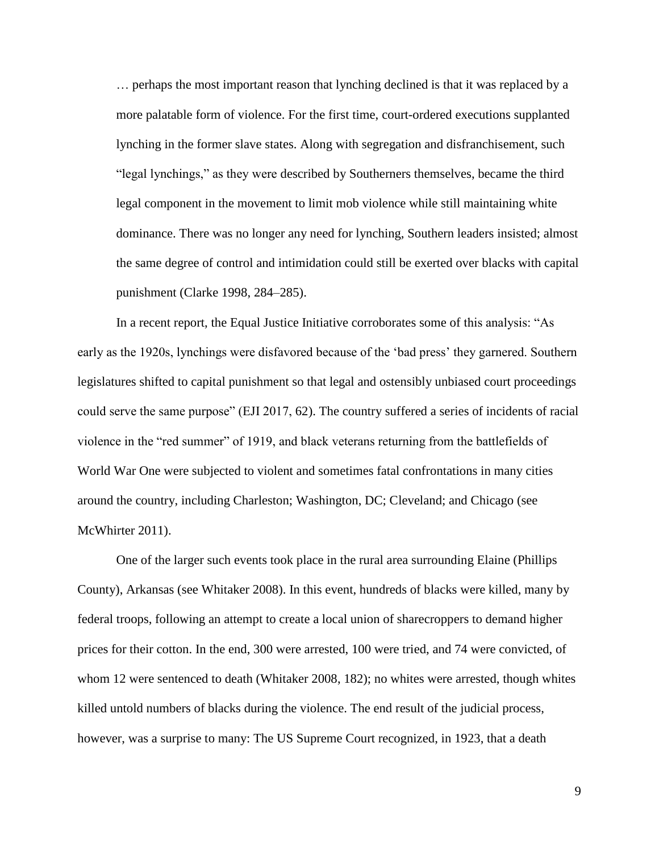… perhaps the most important reason that lynching declined is that it was replaced by a more palatable form of violence. For the first time, court-ordered executions supplanted lynching in the former slave states. Along with segregation and disfranchisement, such "legal lynchings," as they were described by Southerners themselves, became the third legal component in the movement to limit mob violence while still maintaining white dominance. There was no longer any need for lynching, Southern leaders insisted; almost the same degree of control and intimidation could still be exerted over blacks with capital punishment (Clarke 1998, 284–285).

In a recent report, the Equal Justice Initiative corroborates some of this analysis: "As early as the 1920s, lynchings were disfavored because of the 'bad press' they garnered. Southern legislatures shifted to capital punishment so that legal and ostensibly unbiased court proceedings could serve the same purpose" (EJI 2017, 62). The country suffered a series of incidents of racial violence in the "red summer" of 1919, and black veterans returning from the battlefields of World War One were subjected to violent and sometimes fatal confrontations in many cities around the country, including Charleston; Washington, DC; Cleveland; and Chicago (see McWhirter 2011).

One of the larger such events took place in the rural area surrounding Elaine (Phillips County), Arkansas (see Whitaker 2008). In this event, hundreds of blacks were killed, many by federal troops, following an attempt to create a local union of sharecroppers to demand higher prices for their cotton. In the end, 300 were arrested, 100 were tried, and 74 were convicted, of whom 12 were sentenced to death (Whitaker 2008, 182); no whites were arrested, though whites killed untold numbers of blacks during the violence. The end result of the judicial process, however, was a surprise to many: The US Supreme Court recognized, in 1923, that a death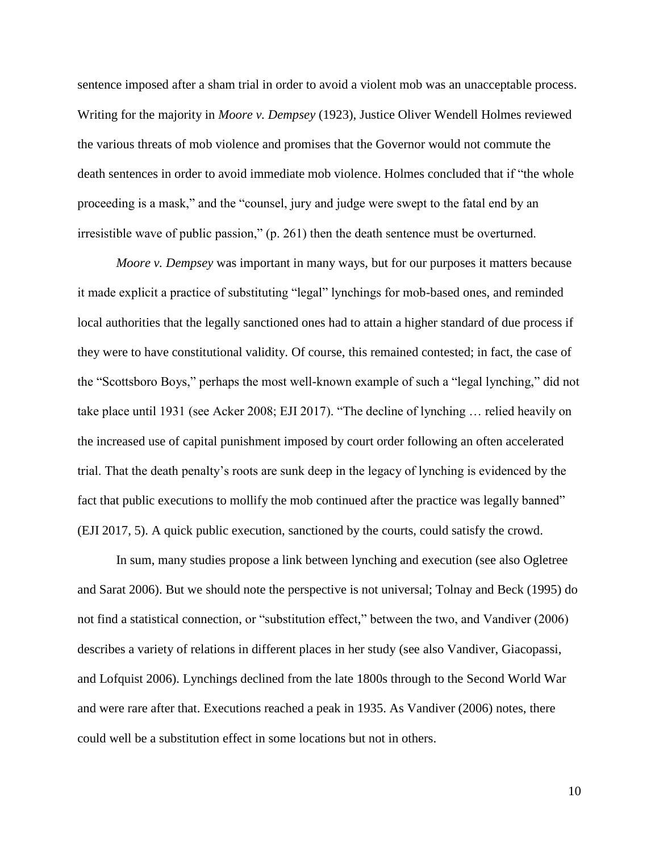sentence imposed after a sham trial in order to avoid a violent mob was an unacceptable process. Writing for the majority in *Moore v. Dempsey* (1923), Justice Oliver Wendell Holmes reviewed the various threats of mob violence and promises that the Governor would not commute the death sentences in order to avoid immediate mob violence. Holmes concluded that if "the whole proceeding is a mask," and the "counsel, jury and judge were swept to the fatal end by an irresistible wave of public passion," (p. 261) then the death sentence must be overturned.

*Moore v. Dempsey* was important in many ways, but for our purposes it matters because it made explicit a practice of substituting "legal" lynchings for mob-based ones, and reminded local authorities that the legally sanctioned ones had to attain a higher standard of due process if they were to have constitutional validity. Of course, this remained contested; in fact, the case of the "Scottsboro Boys," perhaps the most well-known example of such a "legal lynching," did not take place until 1931 (see Acker 2008; EJI 2017). "The decline of lynching … relied heavily on the increased use of capital punishment imposed by court order following an often accelerated trial. That the death penalty's roots are sunk deep in the legacy of lynching is evidenced by the fact that public executions to mollify the mob continued after the practice was legally banned" (EJI 2017, 5). A quick public execution, sanctioned by the courts, could satisfy the crowd.

In sum, many studies propose a link between lynching and execution (see also Ogletree and Sarat 2006). But we should note the perspective is not universal; Tolnay and Beck (1995) do not find a statistical connection, or "substitution effect," between the two, and Vandiver (2006) describes a variety of relations in different places in her study (see also Vandiver, Giacopassi, and Lofquist 2006). Lynchings declined from the late 1800s through to the Second World War and were rare after that. Executions reached a peak in 1935. As Vandiver (2006) notes, there could well be a substitution effect in some locations but not in others.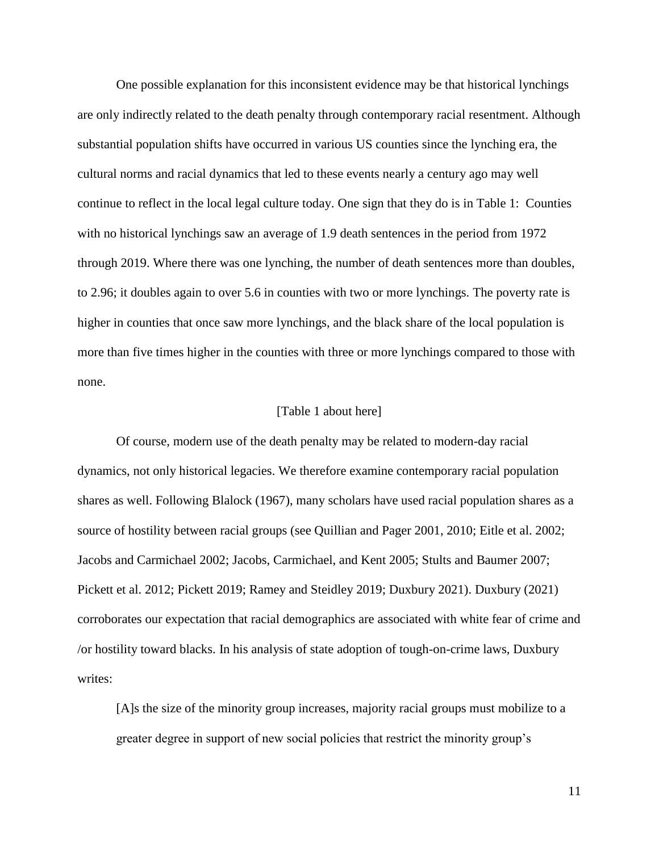One possible explanation for this inconsistent evidence may be that historical lynchings are only indirectly related to the death penalty through contemporary racial resentment. Although substantial population shifts have occurred in various US counties since the lynching era, the cultural norms and racial dynamics that led to these events nearly a century ago may well continue to reflect in the local legal culture today. One sign that they do is in Table 1: Counties with no historical lynchings saw an average of 1.9 death sentences in the period from 1972 through 2019. Where there was one lynching, the number of death sentences more than doubles, to 2.96; it doubles again to over 5.6 in counties with two or more lynchings. The poverty rate is higher in counties that once saw more lynchings, and the black share of the local population is more than five times higher in the counties with three or more lynchings compared to those with none.

#### [Table 1 about here]

Of course, modern use of the death penalty may be related to modern-day racial dynamics, not only historical legacies. We therefore examine contemporary racial population shares as well. Following Blalock (1967), many scholars have used racial population shares as a source of hostility between racial groups (see Quillian and Pager 2001, 2010; Eitle et al. 2002; Jacobs and Carmichael 2002; Jacobs, Carmichael, and Kent 2005; Stults and Baumer 2007; Pickett et al. 2012; Pickett 2019; Ramey and Steidley 2019; Duxbury 2021). Duxbury (2021) corroborates our expectation that racial demographics are associated with white fear of crime and /or hostility toward blacks. In his analysis of state adoption of tough-on-crime laws, Duxbury writes:

[A]s the size of the minority group increases, majority racial groups must mobilize to a greater degree in support of new social policies that restrict the minority group's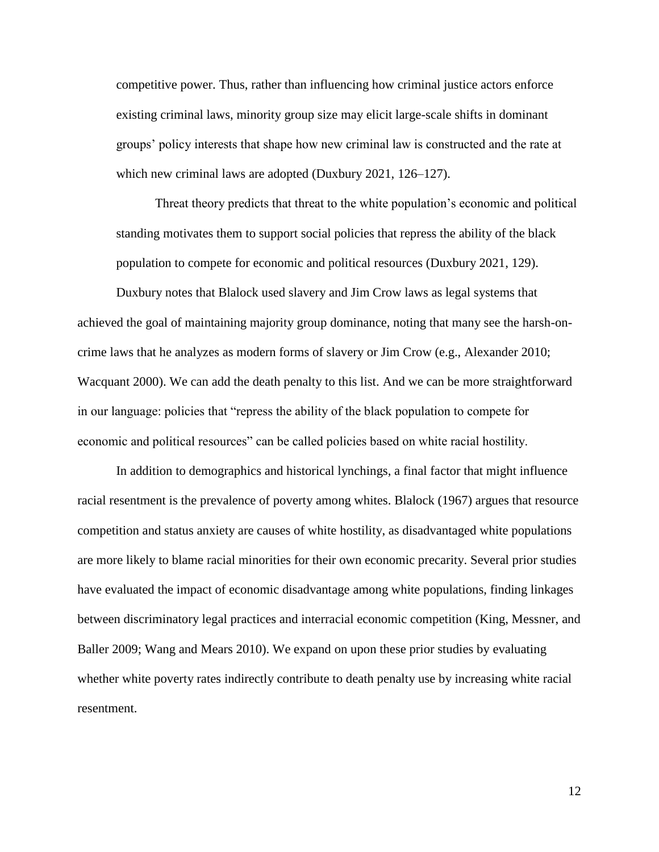competitive power. Thus, rather than influencing how criminal justice actors enforce existing criminal laws, minority group size may elicit large-scale shifts in dominant groups' policy interests that shape how new criminal law is constructed and the rate at which new criminal laws are adopted (Duxbury 2021, 126–127).

Threat theory predicts that threat to the white population's economic and political standing motivates them to support social policies that repress the ability of the black population to compete for economic and political resources (Duxbury 2021, 129).

Duxbury notes that Blalock used slavery and Jim Crow laws as legal systems that achieved the goal of maintaining majority group dominance, noting that many see the harsh-oncrime laws that he analyzes as modern forms of slavery or Jim Crow (e.g., Alexander 2010; Wacquant 2000). We can add the death penalty to this list. And we can be more straightforward in our language: policies that "repress the ability of the black population to compete for economic and political resources" can be called policies based on white racial hostility.

In addition to demographics and historical lynchings, a final factor that might influence racial resentment is the prevalence of poverty among whites. Blalock (1967) argues that resource competition and status anxiety are causes of white hostility, as disadvantaged white populations are more likely to blame racial minorities for their own economic precarity. Several prior studies have evaluated the impact of economic disadvantage among white populations, finding linkages between discriminatory legal practices and interracial economic competition (King, Messner, and Baller 2009; Wang and Mears 2010). We expand on upon these prior studies by evaluating whether white poverty rates indirectly contribute to death penalty use by increasing white racial resentment.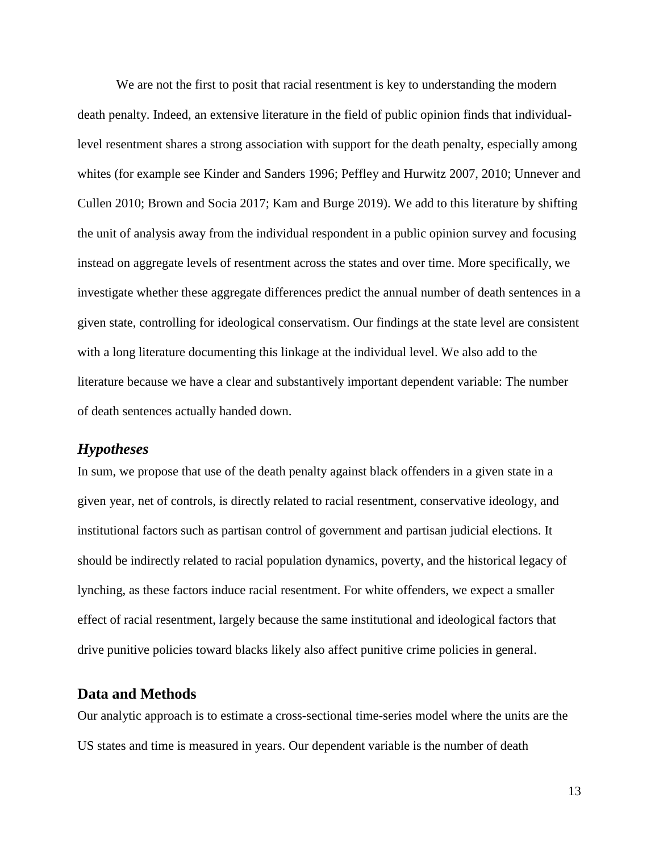We are not the first to posit that racial resentment is key to understanding the modern death penalty. Indeed, an extensive literature in the field of public opinion finds that individuallevel resentment shares a strong association with support for the death penalty, especially among whites (for example see Kinder and Sanders 1996; Peffley and Hurwitz 2007, 2010; Unnever and Cullen 2010; Brown and Socia 2017; Kam and Burge 2019). We add to this literature by shifting the unit of analysis away from the individual respondent in a public opinion survey and focusing instead on aggregate levels of resentment across the states and over time. More specifically, we investigate whether these aggregate differences predict the annual number of death sentences in a given state, controlling for ideological conservatism. Our findings at the state level are consistent with a long literature documenting this linkage at the individual level. We also add to the literature because we have a clear and substantively important dependent variable: The number of death sentences actually handed down.

# *Hypotheses*

In sum, we propose that use of the death penalty against black offenders in a given state in a given year, net of controls, is directly related to racial resentment, conservative ideology, and institutional factors such as partisan control of government and partisan judicial elections. It should be indirectly related to racial population dynamics, poverty, and the historical legacy of lynching, as these factors induce racial resentment. For white offenders, we expect a smaller effect of racial resentment, largely because the same institutional and ideological factors that drive punitive policies toward blacks likely also affect punitive crime policies in general.

# **Data and Methods**

Our analytic approach is to estimate a cross-sectional time-series model where the units are the US states and time is measured in years. Our dependent variable is the number of death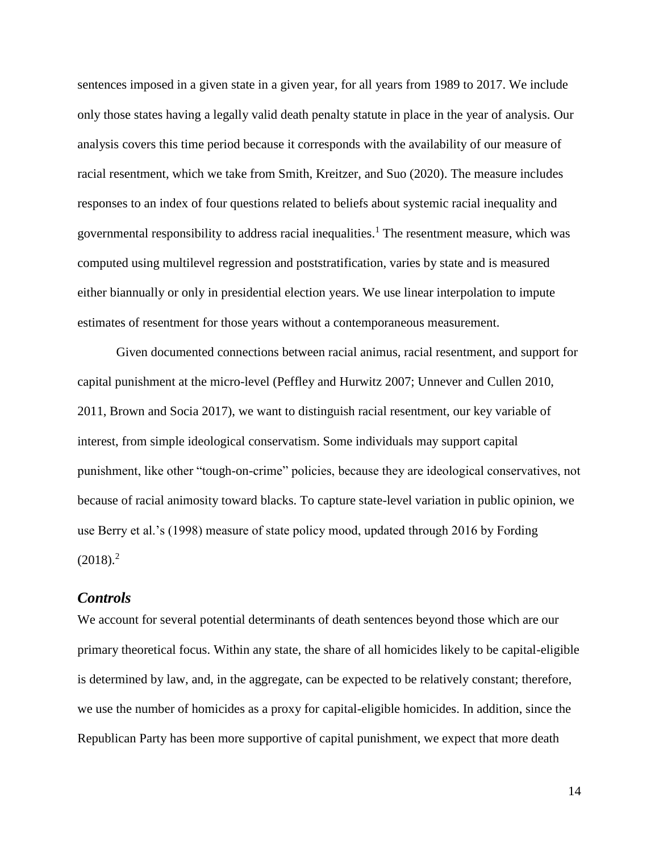sentences imposed in a given state in a given year, for all years from 1989 to 2017. We include only those states having a legally valid death penalty statute in place in the year of analysis. Our analysis covers this time period because it corresponds with the availability of our measure of racial resentment, which we take from Smith, Kreitzer, and Suo (2020). The measure includes responses to an index of four questions related to beliefs about systemic racial inequality and governmental responsibility to address racial inequalities.<sup>1</sup> The resentment measure, which was computed using multilevel regression and poststratification, varies by state and is measured either biannually or only in presidential election years. We use linear interpolation to impute estimates of resentment for those years without a contemporaneous measurement.

Given documented connections between racial animus, racial resentment, and support for capital punishment at the micro-level (Peffley and Hurwitz 2007; Unnever and Cullen 2010, 2011, Brown and Socia 2017), we want to distinguish racial resentment, our key variable of interest, from simple ideological conservatism. Some individuals may support capital punishment, like other "tough-on-crime" policies, because they are ideological conservatives, not because of racial animosity toward blacks. To capture state-level variation in public opinion, we use Berry et al.'s (1998) measure of state policy mood, updated through 2016 by Fording  $(2018).<sup>2</sup>$ 

### *Controls*

We account for several potential determinants of death sentences beyond those which are our primary theoretical focus. Within any state, the share of all homicides likely to be capital-eligible is determined by law, and, in the aggregate, can be expected to be relatively constant; therefore, we use the number of homicides as a proxy for capital-eligible homicides. In addition, since the Republican Party has been more supportive of capital punishment, we expect that more death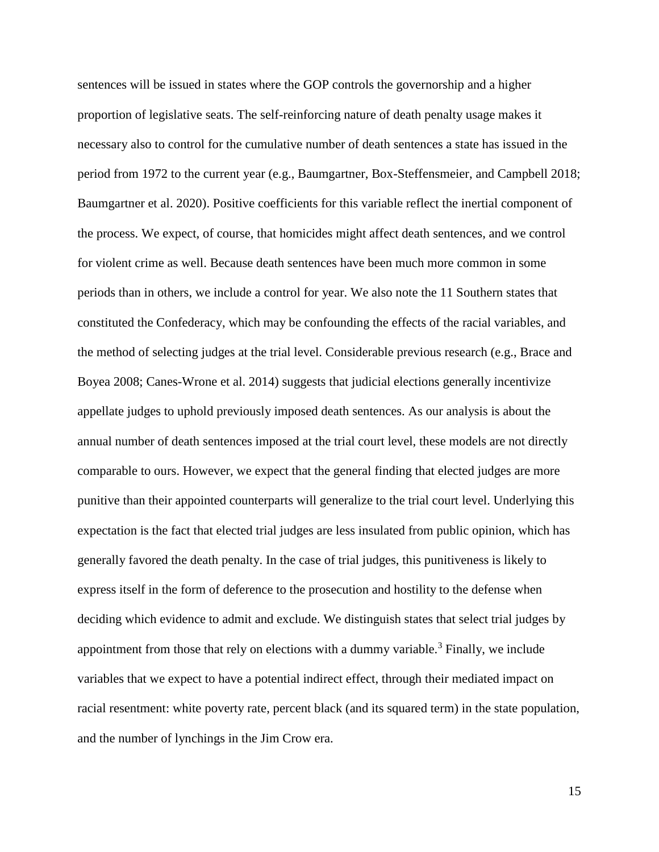sentences will be issued in states where the GOP controls the governorship and a higher proportion of legislative seats. The self-reinforcing nature of death penalty usage makes it necessary also to control for the cumulative number of death sentences a state has issued in the period from 1972 to the current year (e.g., Baumgartner, Box-Steffensmeier, and Campbell 2018; Baumgartner et al. 2020). Positive coefficients for this variable reflect the inertial component of the process. We expect, of course, that homicides might affect death sentences, and we control for violent crime as well. Because death sentences have been much more common in some periods than in others, we include a control for year. We also note the 11 Southern states that constituted the Confederacy, which may be confounding the effects of the racial variables, and the method of selecting judges at the trial level. Considerable previous research (e.g., Brace and Boyea 2008; Canes-Wrone et al. 2014) suggests that judicial elections generally incentivize appellate judges to uphold previously imposed death sentences. As our analysis is about the annual number of death sentences imposed at the trial court level, these models are not directly comparable to ours. However, we expect that the general finding that elected judges are more punitive than their appointed counterparts will generalize to the trial court level. Underlying this expectation is the fact that elected trial judges are less insulated from public opinion, which has generally favored the death penalty. In the case of trial judges, this punitiveness is likely to express itself in the form of deference to the prosecution and hostility to the defense when deciding which evidence to admit and exclude. We distinguish states that select trial judges by appointment from those that rely on elections with a dummy variable.<sup>3</sup> Finally, we include variables that we expect to have a potential indirect effect, through their mediated impact on racial resentment: white poverty rate, percent black (and its squared term) in the state population, and the number of lynchings in the Jim Crow era.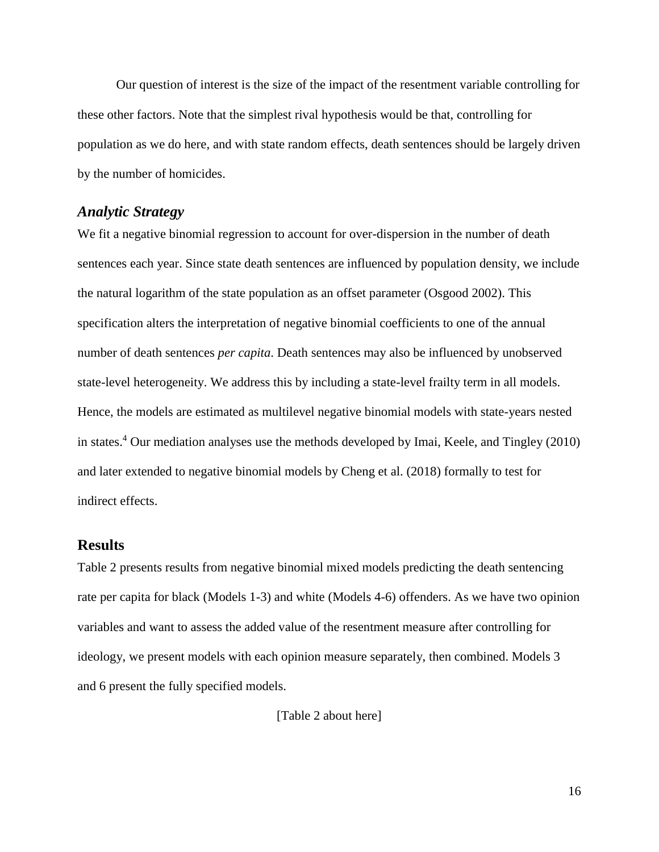Our question of interest is the size of the impact of the resentment variable controlling for these other factors. Note that the simplest rival hypothesis would be that, controlling for population as we do here, and with state random effects, death sentences should be largely driven by the number of homicides.

### *Analytic Strategy*

We fit a negative binomial regression to account for over-dispersion in the number of death sentences each year. Since state death sentences are influenced by population density, we include the natural logarithm of the state population as an offset parameter (Osgood 2002). This specification alters the interpretation of negative binomial coefficients to one of the annual number of death sentences *per capita*. Death sentences may also be influenced by unobserved state-level heterogeneity. We address this by including a state-level frailty term in all models. Hence, the models are estimated as multilevel negative binomial models with state-years nested in states.<sup>4</sup> Our mediation analyses use the methods developed by Imai, Keele, and Tingley (2010) and later extended to negative binomial models by Cheng et al. (2018) formally to test for indirect effects.

## **Results**

Table 2 presents results from negative binomial mixed models predicting the death sentencing rate per capita for black (Models 1-3) and white (Models 4-6) offenders. As we have two opinion variables and want to assess the added value of the resentment measure after controlling for ideology, we present models with each opinion measure separately, then combined. Models 3 and 6 present the fully specified models.

[Table 2 about here]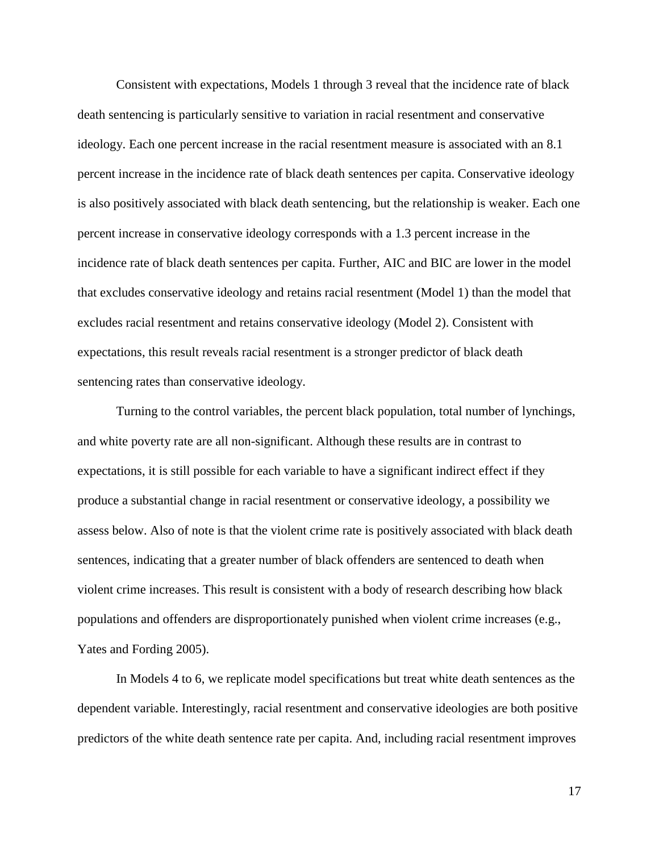Consistent with expectations, Models 1 through 3 reveal that the incidence rate of black death sentencing is particularly sensitive to variation in racial resentment and conservative ideology. Each one percent increase in the racial resentment measure is associated with an 8.1 percent increase in the incidence rate of black death sentences per capita. Conservative ideology is also positively associated with black death sentencing, but the relationship is weaker. Each one percent increase in conservative ideology corresponds with a 1.3 percent increase in the incidence rate of black death sentences per capita. Further, AIC and BIC are lower in the model that excludes conservative ideology and retains racial resentment (Model 1) than the model that excludes racial resentment and retains conservative ideology (Model 2). Consistent with expectations, this result reveals racial resentment is a stronger predictor of black death sentencing rates than conservative ideology.

Turning to the control variables, the percent black population, total number of lynchings, and white poverty rate are all non-significant. Although these results are in contrast to expectations, it is still possible for each variable to have a significant indirect effect if they produce a substantial change in racial resentment or conservative ideology, a possibility we assess below. Also of note is that the violent crime rate is positively associated with black death sentences, indicating that a greater number of black offenders are sentenced to death when violent crime increases. This result is consistent with a body of research describing how black populations and offenders are disproportionately punished when violent crime increases (e.g., Yates and Fording 2005).

In Models 4 to 6, we replicate model specifications but treat white death sentences as the dependent variable. Interestingly, racial resentment and conservative ideologies are both positive predictors of the white death sentence rate per capita. And, including racial resentment improves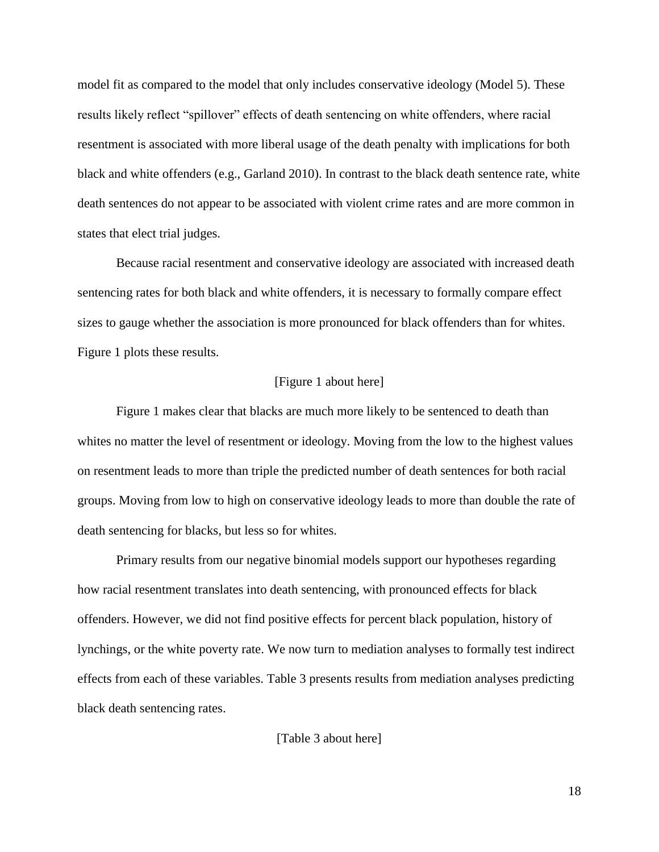model fit as compared to the model that only includes conservative ideology (Model 5). These results likely reflect "spillover" effects of death sentencing on white offenders, where racial resentment is associated with more liberal usage of the death penalty with implications for both black and white offenders (e.g., Garland 2010). In contrast to the black death sentence rate, white death sentences do not appear to be associated with violent crime rates and are more common in states that elect trial judges.

Because racial resentment and conservative ideology are associated with increased death sentencing rates for both black and white offenders, it is necessary to formally compare effect sizes to gauge whether the association is more pronounced for black offenders than for whites. Figure 1 plots these results.

#### [Figure 1 about here]

Figure 1 makes clear that blacks are much more likely to be sentenced to death than whites no matter the level of resentment or ideology. Moving from the low to the highest values on resentment leads to more than triple the predicted number of death sentences for both racial groups. Moving from low to high on conservative ideology leads to more than double the rate of death sentencing for blacks, but less so for whites.

Primary results from our negative binomial models support our hypotheses regarding how racial resentment translates into death sentencing, with pronounced effects for black offenders. However, we did not find positive effects for percent black population, history of lynchings, or the white poverty rate. We now turn to mediation analyses to formally test indirect effects from each of these variables. Table 3 presents results from mediation analyses predicting black death sentencing rates.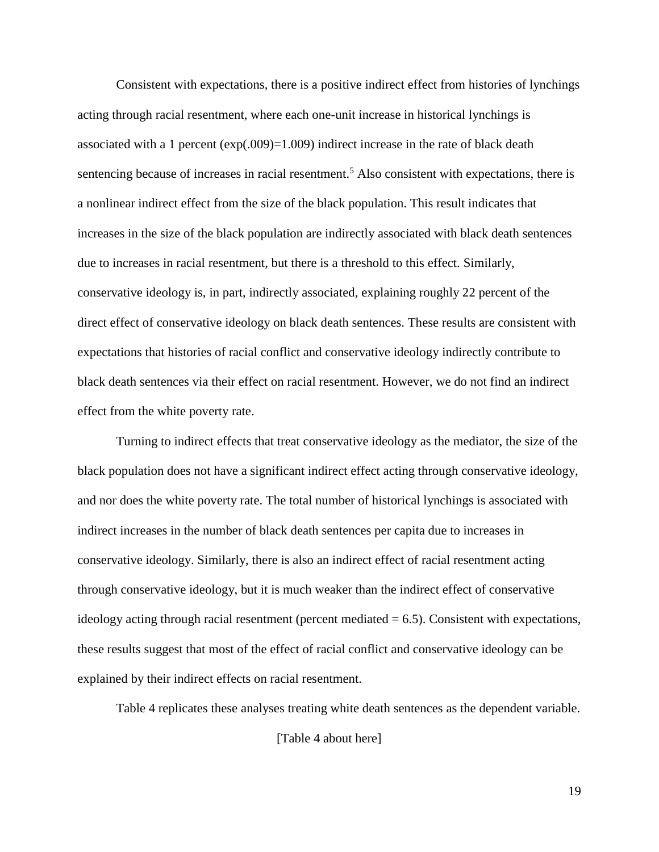Consistent with expectations, there is a positive indirect effect from histories of lynchings acting through racial resentment, where each one-unit increase in historical lynchings is associated with a 1 percent  $(exp(.009)=1.009)$  indirect increase in the rate of black death sentencing because of increases in racial resentment.<sup>5</sup> Also consistent with expectations, there is a nonlinear indirect effect from the size of the black population. This result indicates that increases in the size of the black population are indirectly associated with black death sentences due to increases in racial resentment, but there is a threshold to this effect. Similarly, conservative ideology is, in part, indirectly associated, explaining roughly 22 percent of the direct effect of conservative ideology on black death sentences. These results are consistent with expectations that histories of racial conflict and conservative ideology indirectly contribute to black death sentences via their effect on racial resentment. However, we do not find an indirect effect from the white poverty rate.

Turning to indirect effects that treat conservative ideology as the mediator, the size of the black population does not have a significant indirect effect acting through conservative ideology, and nor does the white poverty rate. The total number of historical lynchings is associated with indirect increases in the number of black death sentences per capita due to increases in conservative ideology. Similarly, there is also an indirect effect of racial resentment acting through conservative ideology, but it is much weaker than the indirect effect of conservative ideology acting through racial resentment (percent mediated  $= 6.5$ ). Consistent with expectations, these results suggest that most of the effect of racial conflict and conservative ideology can be explained by their indirect effects on racial resentment.

Table 4 replicates these analyses treating white death sentences as the dependent variable.

[Table 4 about here]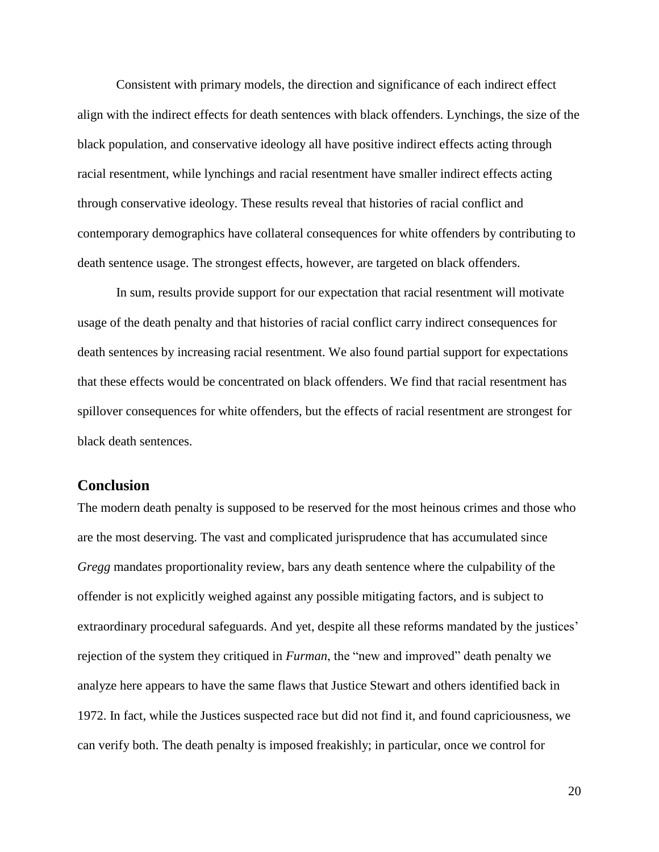Consistent with primary models, the direction and significance of each indirect effect align with the indirect effects for death sentences with black offenders. Lynchings, the size of the black population, and conservative ideology all have positive indirect effects acting through racial resentment, while lynchings and racial resentment have smaller indirect effects acting through conservative ideology. These results reveal that histories of racial conflict and contemporary demographics have collateral consequences for white offenders by contributing to death sentence usage. The strongest effects, however, are targeted on black offenders.

In sum, results provide support for our expectation that racial resentment will motivate usage of the death penalty and that histories of racial conflict carry indirect consequences for death sentences by increasing racial resentment. We also found partial support for expectations that these effects would be concentrated on black offenders. We find that racial resentment has spillover consequences for white offenders, but the effects of racial resentment are strongest for black death sentences.

# **Conclusion**

The modern death penalty is supposed to be reserved for the most heinous crimes and those who are the most deserving. The vast and complicated jurisprudence that has accumulated since *Gregg* mandates proportionality review, bars any death sentence where the culpability of the offender is not explicitly weighed against any possible mitigating factors, and is subject to extraordinary procedural safeguards. And yet, despite all these reforms mandated by the justices' rejection of the system they critiqued in *Furman*, the "new and improved" death penalty we analyze here appears to have the same flaws that Justice Stewart and others identified back in 1972. In fact, while the Justices suspected race but did not find it, and found capriciousness, we can verify both. The death penalty is imposed freakishly; in particular, once we control for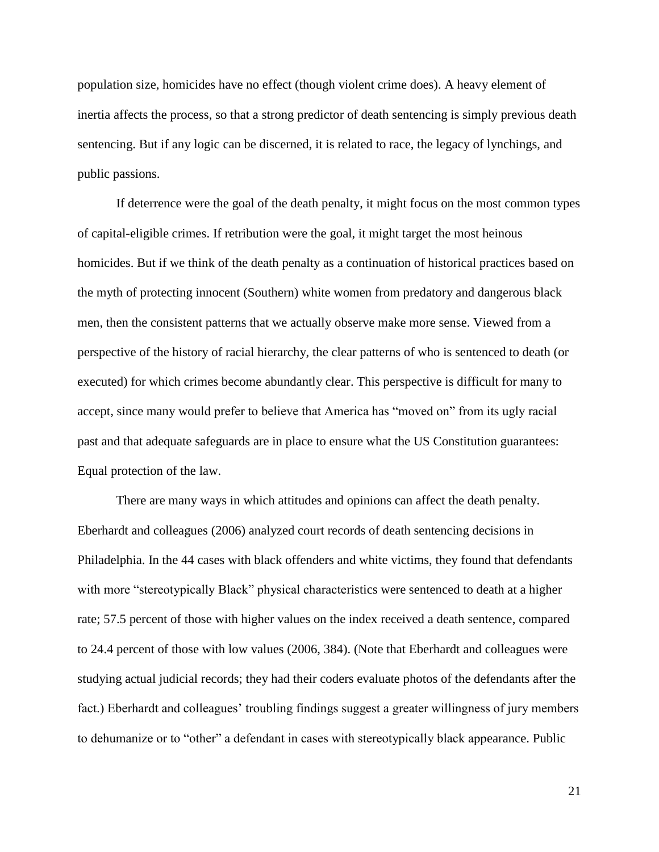population size, homicides have no effect (though violent crime does). A heavy element of inertia affects the process, so that a strong predictor of death sentencing is simply previous death sentencing. But if any logic can be discerned, it is related to race, the legacy of lynchings, and public passions.

If deterrence were the goal of the death penalty, it might focus on the most common types of capital-eligible crimes. If retribution were the goal, it might target the most heinous homicides. But if we think of the death penalty as a continuation of historical practices based on the myth of protecting innocent (Southern) white women from predatory and dangerous black men, then the consistent patterns that we actually observe make more sense. Viewed from a perspective of the history of racial hierarchy, the clear patterns of who is sentenced to death (or executed) for which crimes become abundantly clear. This perspective is difficult for many to accept, since many would prefer to believe that America has "moved on" from its ugly racial past and that adequate safeguards are in place to ensure what the US Constitution guarantees: Equal protection of the law.

There are many ways in which attitudes and opinions can affect the death penalty. Eberhardt and colleagues (2006) analyzed court records of death sentencing decisions in Philadelphia. In the 44 cases with black offenders and white victims, they found that defendants with more "stereotypically Black" physical characteristics were sentenced to death at a higher rate; 57.5 percent of those with higher values on the index received a death sentence, compared to 24.4 percent of those with low values (2006, 384). (Note that Eberhardt and colleagues were studying actual judicial records; they had their coders evaluate photos of the defendants after the fact.) Eberhardt and colleagues' troubling findings suggest a greater willingness of jury members to dehumanize or to "other" a defendant in cases with stereotypically black appearance. Public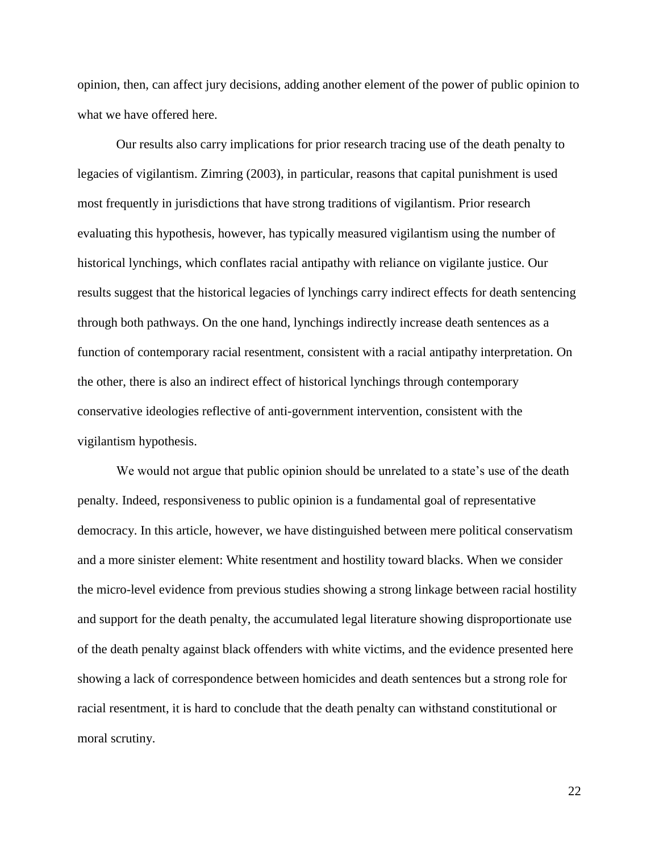opinion, then, can affect jury decisions, adding another element of the power of public opinion to what we have offered here.

Our results also carry implications for prior research tracing use of the death penalty to legacies of vigilantism. Zimring (2003), in particular, reasons that capital punishment is used most frequently in jurisdictions that have strong traditions of vigilantism. Prior research evaluating this hypothesis, however, has typically measured vigilantism using the number of historical lynchings, which conflates racial antipathy with reliance on vigilante justice. Our results suggest that the historical legacies of lynchings carry indirect effects for death sentencing through both pathways. On the one hand, lynchings indirectly increase death sentences as a function of contemporary racial resentment, consistent with a racial antipathy interpretation. On the other, there is also an indirect effect of historical lynchings through contemporary conservative ideologies reflective of anti-government intervention, consistent with the vigilantism hypothesis.

We would not argue that public opinion should be unrelated to a state's use of the death penalty. Indeed, responsiveness to public opinion is a fundamental goal of representative democracy. In this article, however, we have distinguished between mere political conservatism and a more sinister element: White resentment and hostility toward blacks. When we consider the micro-level evidence from previous studies showing a strong linkage between racial hostility and support for the death penalty, the accumulated legal literature showing disproportionate use of the death penalty against black offenders with white victims, and the evidence presented here showing a lack of correspondence between homicides and death sentences but a strong role for racial resentment, it is hard to conclude that the death penalty can withstand constitutional or moral scrutiny.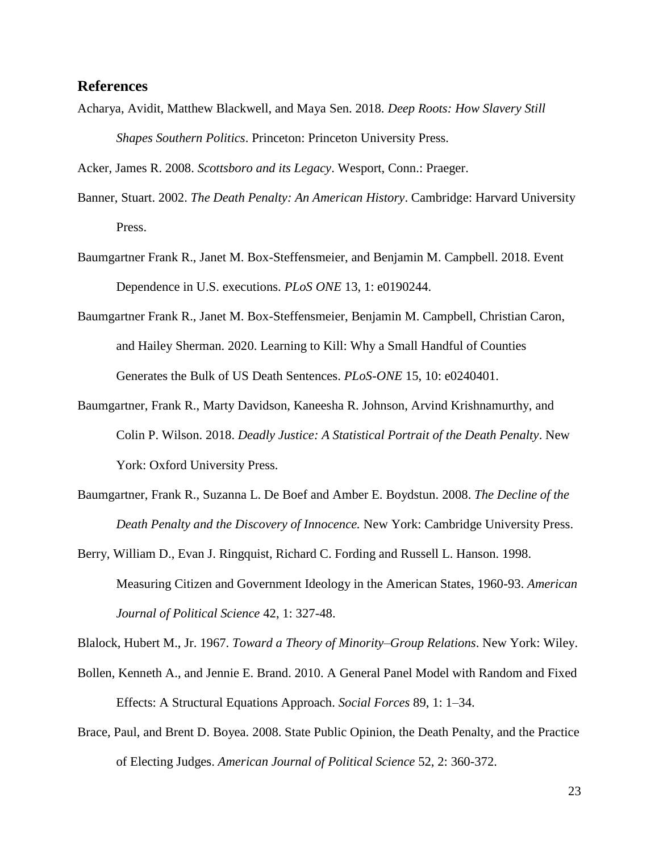#### **References**

Acharya, Avidit, Matthew Blackwell, and Maya Sen. 2018. *Deep Roots: How Slavery Still Shapes Southern Politics*. Princeton: Princeton University Press.

Acker, James R. 2008. *Scottsboro and its Legacy*. Wesport, Conn.: Praeger.

- Banner, Stuart. 2002. *The Death Penalty: An American History*. Cambridge: Harvard University Press.
- Baumgartner Frank R., Janet M. Box-Steffensmeier, and Benjamin M. Campbell. 2018. Event Dependence in U.S. executions. *PLoS ONE* 13, 1: e0190244.
- Baumgartner Frank R., Janet M. Box-Steffensmeier, Benjamin M. Campbell, Christian Caron, and Hailey Sherman. 2020. Learning to Kill: Why a Small Handful of Counties Generates the Bulk of US Death Sentences. *PLoS-ONE* 15, 10: e0240401.
- Baumgartner, Frank R., Marty Davidson, Kaneesha R. Johnson, Arvind Krishnamurthy, and Colin P. Wilson. 2018. *Deadly Justice: A Statistical Portrait of the Death Penalty*. New York: Oxford University Press.
- Baumgartner, Frank R., Suzanna L. De Boef and Amber E. Boydstun. 2008. *The Decline of the Death Penalty and the Discovery of Innocence.* New York: Cambridge University Press.
- Berry, William D., Evan J. Ringquist, Richard C. Fording and Russell L. Hanson. 1998. Measuring Citizen and Government Ideology in the American States, 1960-93. *American Journal of Political Science* 42, 1: 327-48.

Blalock, Hubert M., Jr. 1967. *Toward a Theory of Minority–Group Relations*. New York: Wiley.

- Bollen, Kenneth A., and Jennie E. Brand. 2010. A General Panel Model with Random and Fixed Effects: A Structural Equations Approach. *Social Forces* 89, 1: 1–34.
- Brace, Paul, and Brent D. Boyea. 2008. State Public Opinion, the Death Penalty, and the Practice of Electing Judges. *American Journal of Political Science* 52, 2: 360-372.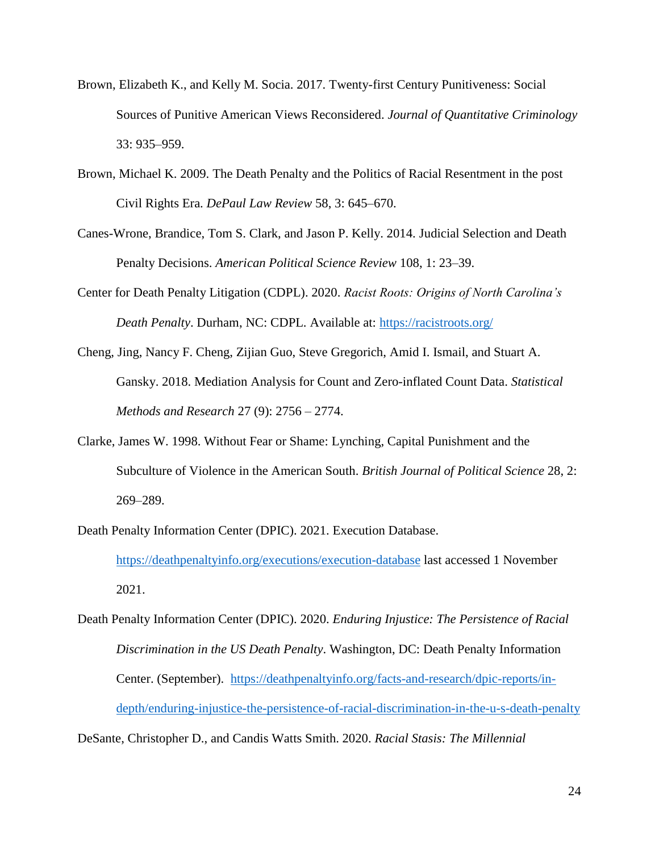- Brown, Elizabeth K., and Kelly M. Socia. 2017. Twenty-first Century Punitiveness: Social Sources of Punitive American Views Reconsidered. *Journal of Quantitative Criminology*  33: 935–959.
- Brown, Michael K. 2009. The Death Penalty and the Politics of Racial Resentment in the post Civil Rights Era. *DePaul Law Review* 58, 3: 645–670.
- Canes-Wrone, Brandice, Tom S. Clark, and Jason P. Kelly. 2014. Judicial Selection and Death Penalty Decisions. *American Political Science Review* 108, 1: 23–39.
- Center for Death Penalty Litigation (CDPL). 2020. *Racist Roots: Origins of North Carolina's Death Penalty*. Durham, NC: CDPL. Available at:<https://racistroots.org/>
- Cheng, Jing, Nancy F. Cheng, Zijian Guo, Steve Gregorich, Amid I. Ismail, and Stuart A. Gansky. 2018. Mediation Analysis for Count and Zero-inflated Count Data. *Statistical Methods and Research* 27 (9): 2756 – 2774.
- Clarke, James W. 1998. Without Fear or Shame: Lynching, Capital Punishment and the Subculture of Violence in the American South. *British Journal of Political Science* 28, 2: 269–289.
- Death Penalty Information Center (DPIC). 2021. Execution Database. <https://deathpenaltyinfo.org/executions/execution-database> last accessed 1 November 2021.
- Death Penalty Information Center (DPIC). 2020. *Enduring Injustice: The Persistence of Racial Discrimination in the US Death Penalty*. Washington, DC: Death Penalty Information Center. (September). [https://deathpenaltyinfo.org/facts-and-research/dpic-reports/in](https://deathpenaltyinfo.org/facts-and-research/dpic-reports/in-depth/enduring-injustice-the-persistence-of-racial-discrimination-in-the-u-s-death-penalty)[depth/enduring-injustice-the-persistence-of-racial-discrimination-in-the-u-s-death-penalty](https://deathpenaltyinfo.org/facts-and-research/dpic-reports/in-depth/enduring-injustice-the-persistence-of-racial-discrimination-in-the-u-s-death-penalty)

DeSante, Christopher D., and Candis Watts Smith. 2020. *Racial Stasis: The Millennial*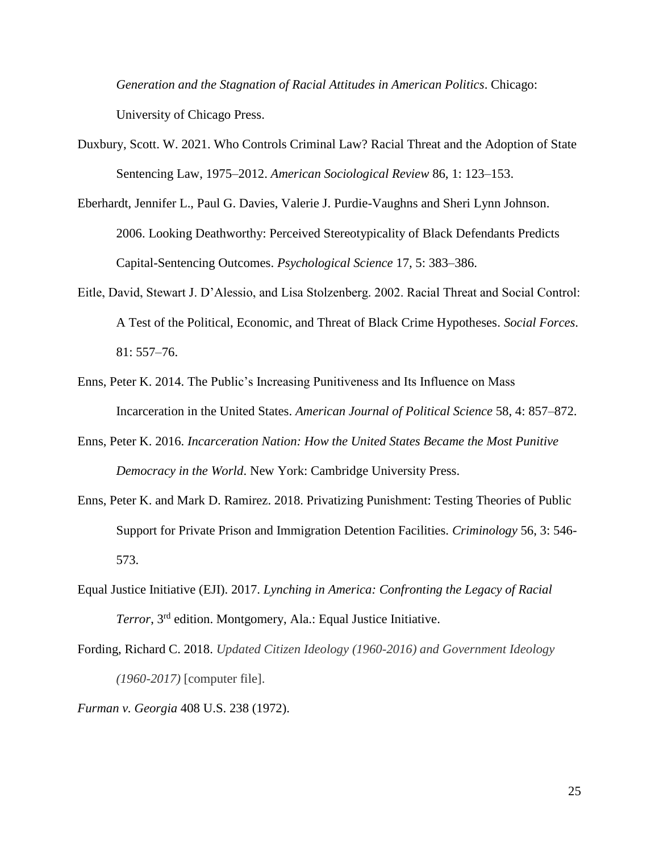*Generation and the Stagnation of Racial Attitudes in American Politics*. Chicago: University of Chicago Press.

- Duxbury, Scott. W. 2021. Who Controls Criminal Law? Racial Threat and the Adoption of State Sentencing Law, 1975–2012. *American Sociological Review* 86, 1: 123–153.
- Eberhardt, Jennifer L., Paul G. Davies, Valerie J. Purdie-Vaughns and Sheri Lynn Johnson. 2006. Looking Deathworthy: Perceived Stereotypicality of Black Defendants Predicts Capital-Sentencing Outcomes. *Psychological Science* 17, 5: 383–386.
- Eitle, David, Stewart J. D'Alessio, and Lisa Stolzenberg. 2002. Racial Threat and Social Control: A Test of the Political, Economic, and Threat of Black Crime Hypotheses. *Social Forces*. 81: 557–76.
- Enns, Peter K. 2014. The Public's Increasing Punitiveness and Its Influence on Mass Incarceration in the United States. *American Journal of Political Science* 58, 4: 857–872.
- Enns, Peter K. 2016. *Incarceration Nation: How the United States Became the Most Punitive Democracy in the World*. New York: Cambridge University Press.
- Enns, Peter K. and Mark D. Ramirez. 2018. Privatizing Punishment: Testing Theories of Public Support for Private Prison and Immigration Detention Facilities. *Criminology* 56, 3: 546- 573.
- Equal Justice Initiative (EJI). 2017. *Lynching in America: Confronting the Legacy of Racial Terror*, 3rd edition. Montgomery, Ala.: Equal Justice Initiative.
- Fording, Richard C. 2018. *Updated Citizen Ideology (1960-2016) and Government Ideology (1960-2017)* [computer file].
- *Furman v. Georgia* 408 U.S. 238 (1972).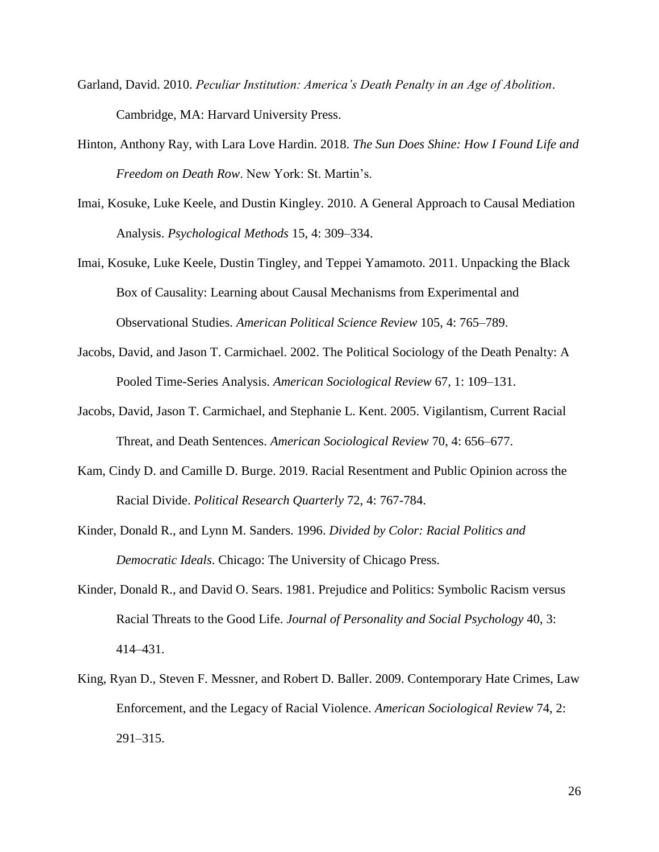- Garland, David. 2010. *Peculiar Institution: America's Death Penalty in an Age of Abolition*. Cambridge, MA: Harvard University Press.
- Hinton, Anthony Ray, with Lara Love Hardin. 2018. *The Sun Does Shine: How I Found Life and Freedom on Death Row*. New York: St. Martin's.
- Imai, Kosuke, Luke Keele, and Dustin Kingley. 2010. A General Approach to Causal Mediation Analysis. *Psychological Methods* 15, 4: 309–334.
- Imai, Kosuke, Luke Keele, Dustin Tingley, and Teppei Yamamoto. 2011. Unpacking the Black Box of Causality: Learning about Causal Mechanisms from Experimental and Observational Studies. *American Political Science Review* 105, 4: 765–789.
- Jacobs, David, and Jason T. Carmichael. 2002. The Political Sociology of the Death Penalty: A Pooled Time-Series Analysis. *American Sociological Review* 67, 1: 109–131.
- Jacobs, David, Jason T. Carmichael, and Stephanie L. Kent. 2005. Vigilantism, Current Racial Threat, and Death Sentences. *American Sociological Review* 70, 4: 656–677.
- Kam, Cindy D. and Camille D. Burge. 2019. Racial Resentment and Public Opinion across the Racial Divide. *Political Research Quarterly* 72, 4: 767-784.
- Kinder, Donald R., and Lynn M. Sanders. 1996. *Divided by Color: Racial Politics and Democratic Ideals*. Chicago: The University of Chicago Press.
- Kinder, Donald R., and David O. Sears. 1981. Prejudice and Politics: Symbolic Racism versus Racial Threats to the Good Life. *Journal of Personality and Social Psychology* 40, 3: 414–431.
- King, Ryan D., Steven F. Messner, and Robert D. Baller. 2009. Contemporary Hate Crimes, Law Enforcement, and the Legacy of Racial Violence. *American Sociological Review* 74, 2: 291–315.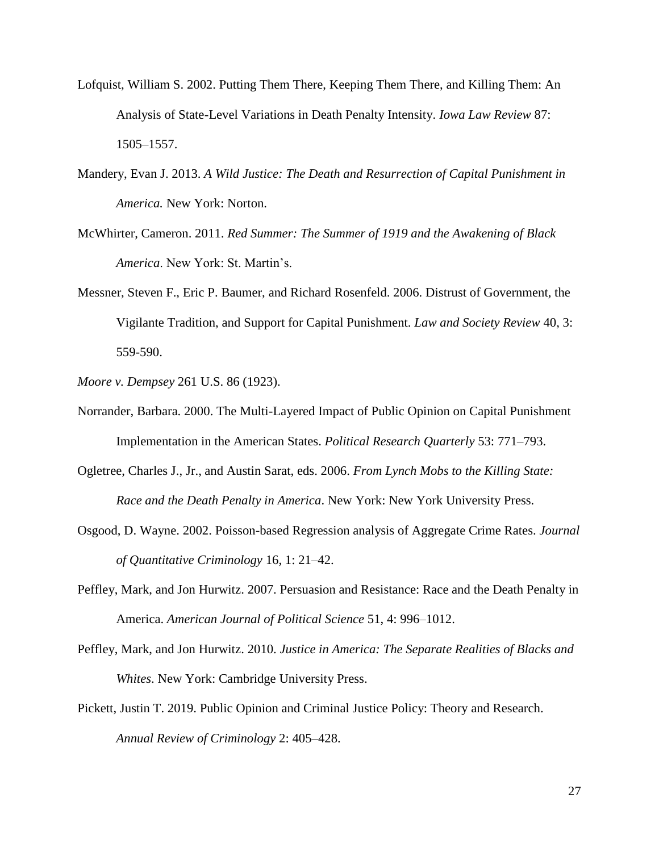- Lofquist, William S. 2002. Putting Them There, Keeping Them There, and Killing Them: An Analysis of State-Level Variations in Death Penalty Intensity. *Iowa Law Review* 87: 1505–1557.
- Mandery, Evan J. 2013. *A Wild Justice: The Death and Resurrection of Capital Punishment in America.* New York: Norton.
- McWhirter, Cameron. 2011. *Red Summer: The Summer of 1919 and the Awakening of Black America*. New York: St. Martin's.
- Messner, Steven F., Eric P. Baumer, and Richard Rosenfeld. 2006. Distrust of Government, the Vigilante Tradition, and Support for Capital Punishment. *Law and Society Review* 40, 3: 559-590.
- *Moore v. Dempsey* 261 U.S. 86 (1923).
- Norrander, Barbara. 2000. The Multi-Layered Impact of Public Opinion on Capital Punishment Implementation in the American States. *Political Research Quarterly* 53: 771–793.
- Ogletree, Charles J., Jr., and Austin Sarat, eds. 2006. *From Lynch Mobs to the Killing State: Race and the Death Penalty in America*. New York: New York University Press.
- Osgood, D. Wayne. 2002. Poisson-based Regression analysis of Aggregate Crime Rates. *Journal of Quantitative Criminology* 16, 1: 21–42.
- Peffley, Mark, and Jon Hurwitz. 2007. Persuasion and Resistance: Race and the Death Penalty in America. *American Journal of Political Science* 51, 4: 996–1012.
- Peffley, Mark, and Jon Hurwitz. 2010. *Justice in America: The Separate Realities of Blacks and Whites*. New York: Cambridge University Press.
- Pickett, Justin T. 2019. Public Opinion and Criminal Justice Policy: Theory and Research. *Annual Review of Criminology* 2: 405–428.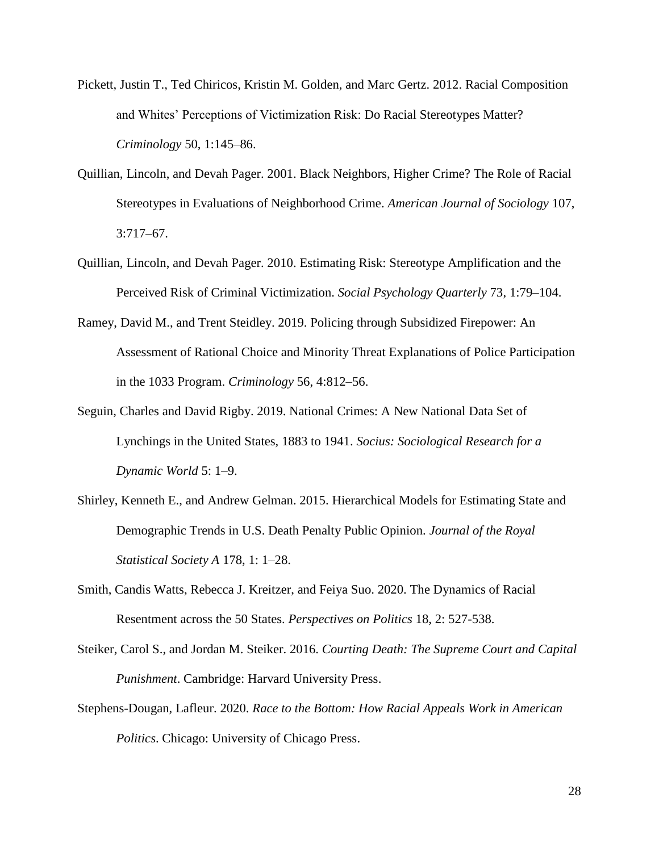- Pickett, Justin T., Ted Chiricos, Kristin M. Golden, and Marc Gertz. 2012. Racial Composition and Whites' Perceptions of Victimization Risk: Do Racial Stereotypes Matter? *Criminology* 50, 1:145–86.
- Quillian, Lincoln, and Devah Pager. 2001. Black Neighbors, Higher Crime? The Role of Racial Stereotypes in Evaluations of Neighborhood Crime. *American Journal of Sociology* 107, 3:717–67.
- Quillian, Lincoln, and Devah Pager. 2010. Estimating Risk: Stereotype Amplification and the Perceived Risk of Criminal Victimization. *Social Psychology Quarterly* 73, 1:79–104.
- Ramey, David M., and Trent Steidley. 2019. Policing through Subsidized Firepower: An Assessment of Rational Choice and Minority Threat Explanations of Police Participation in the 1033 Program. *Criminology* 56, 4:812–56.
- Seguin, Charles and David Rigby. 2019. National Crimes: A New National Data Set of Lynchings in the United States, 1883 to 1941. *Socius: Sociological Research for a Dynamic World* 5: 1–9.
- Shirley, Kenneth E., and Andrew Gelman. 2015. Hierarchical Models for Estimating State and Demographic Trends in U.S. Death Penalty Public Opinion. *Journal of the Royal Statistical Society A* 178, 1: 1–28.
- Smith, Candis Watts, Rebecca J. Kreitzer, and Feiya Suo. 2020. The Dynamics of Racial Resentment across the 50 States. *Perspectives on Politics* 18, 2: 527-538.
- Steiker, Carol S., and Jordan M. Steiker. 2016. *Courting Death: The Supreme Court and Capital Punishment*. Cambridge: Harvard University Press.
- Stephens-Dougan, Lafleur. 2020. *Race to the Bottom: How Racial Appeals Work in American Politics*. Chicago: University of Chicago Press.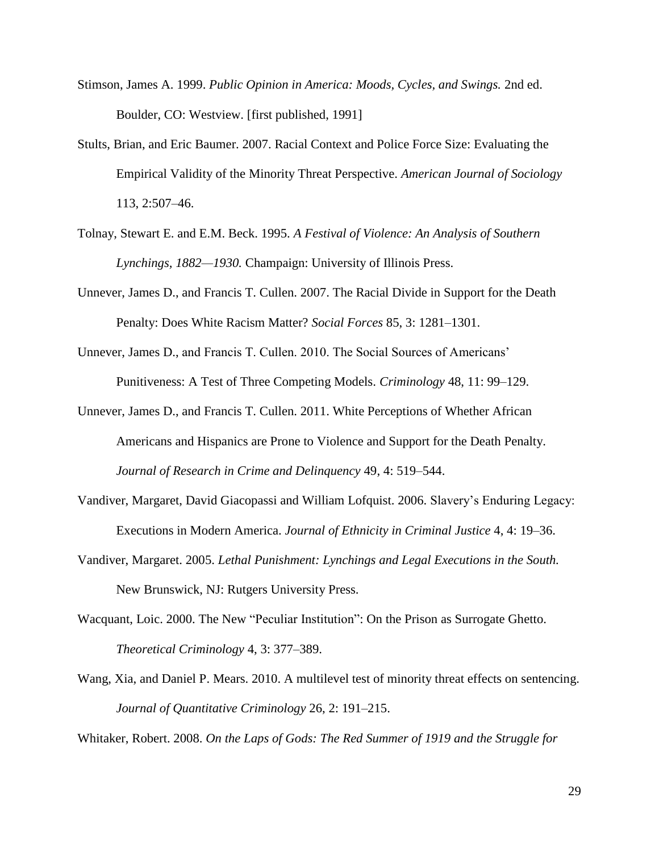- Stimson, James A. 1999. *Public Opinion in America: Moods, Cycles, and Swings.* 2nd ed. Boulder, CO: Westview. [first published, 1991]
- Stults, Brian, and Eric Baumer. 2007. Racial Context and Police Force Size: Evaluating the Empirical Validity of the Minority Threat Perspective. *American Journal of Sociology* 113, 2:507–46.
- Tolnay, Stewart E. and E.M. Beck. 1995. *A Festival of Violence: An Analysis of Southern Lynchings, 1882—1930.* Champaign: University of Illinois Press.
- Unnever, James D., and Francis T. Cullen. 2007. The Racial Divide in Support for the Death Penalty: Does White Racism Matter? *Social Forces* 85, 3: 1281–1301.
- Unnever, James D., and Francis T. Cullen. 2010. The Social Sources of Americans' Punitiveness: A Test of Three Competing Models. *Criminology* 48, 11: 99–129.
- Unnever, James D., and Francis T. Cullen. 2011. White Perceptions of Whether African Americans and Hispanics are Prone to Violence and Support for the Death Penalty. *Journal of Research in Crime and Delinquency* 49, 4: 519–544.
- Vandiver, Margaret, David Giacopassi and William Lofquist. 2006. Slavery's Enduring Legacy: Executions in Modern America. *Journal of Ethnicity in Criminal Justice* 4, 4: 19–36.
- Vandiver, Margaret. 2005. *Lethal Punishment: Lynchings and Legal Executions in the South.* New Brunswick, NJ: Rutgers University Press.
- Wacquant, Loic. 2000. The New "Peculiar Institution": On the Prison as Surrogate Ghetto. *Theoretical Criminology* 4, 3: 377–389.
- Wang, Xia, and Daniel P. Mears. 2010. A multilevel test of minority threat effects on sentencing. *Journal of Quantitative Criminology* 26, 2: 191–215.

Whitaker, Robert. 2008. *On the Laps of Gods: The Red Summer of 1919 and the Struggle for*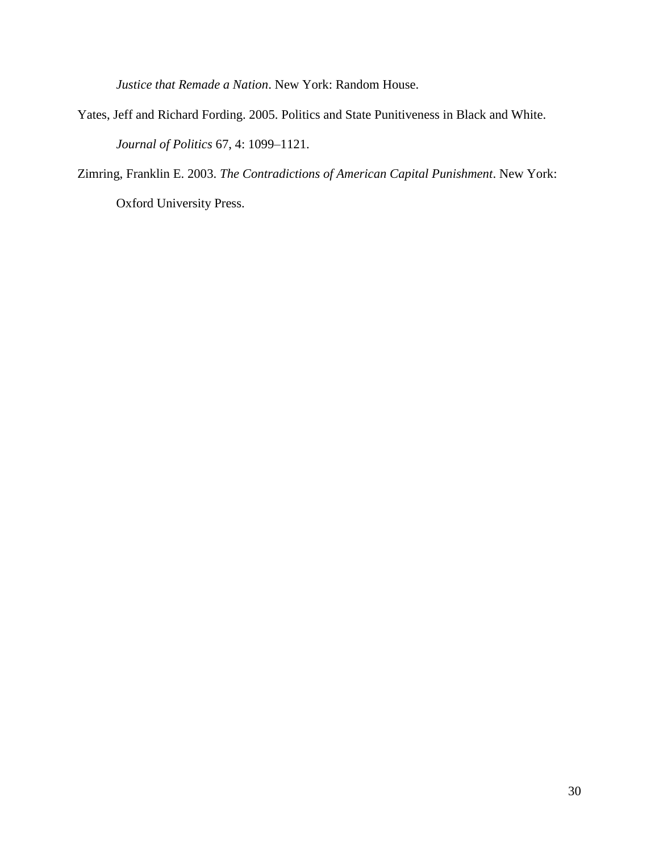*Justice that Remade a Nation*. New York: Random House.

Yates, Jeff and Richard Fording. 2005. Politics and State Punitiveness in Black and White. *Journal of Politics* 67, 4: 1099–1121.

Zimring, Franklin E. 2003. *The Contradictions of American Capital Punishment*. New York:

Oxford University Press.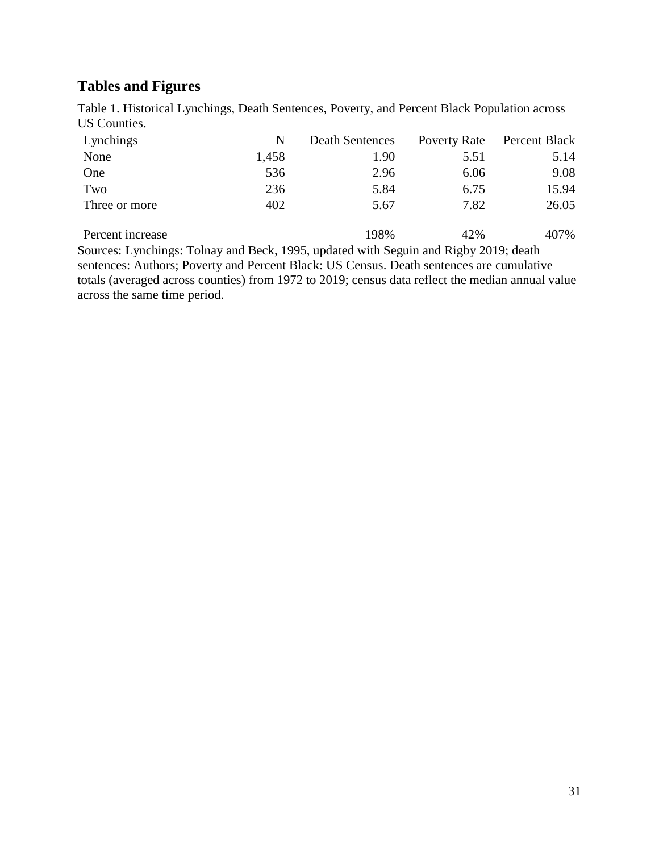# **Tables and Figures**

| US Counties.     |       |                        |              |               |
|------------------|-------|------------------------|--------------|---------------|
| Lynchings        | N     | <b>Death Sentences</b> | Poverty Rate | Percent Black |
| None             | 1,458 | 1.90                   | 5.51         | 5.14          |
| One              | 536   | 2.96                   | 6.06         | 9.08          |
| Two              | 236   | 5.84                   | 6.75         | 15.94         |
| Three or more    | 402   | 5.67                   | 7.82         | 26.05         |
| Percent increase |       | 198%                   | 42%          | 407%          |

Table 1. Historical Lynchings, Death Sentences, Poverty, and Percent Black Population across US Counties.

Sources: Lynchings: Tolnay and Beck, 1995, updated with Seguin and Rigby 2019; death sentences: Authors; Poverty and Percent Black: US Census. Death sentences are cumulative totals (averaged across counties) from 1972 to 2019; census data reflect the median annual value across the same time period.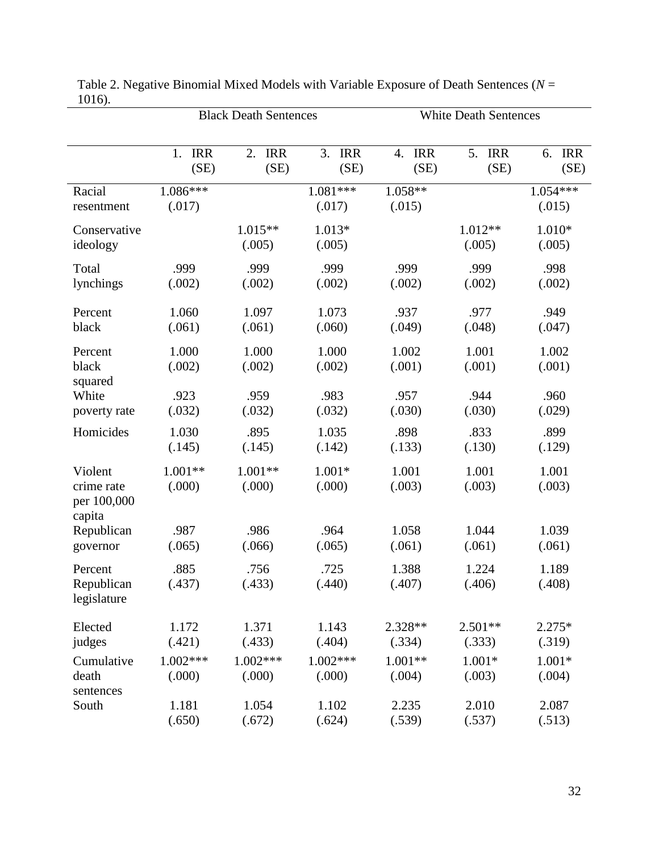|                                                |                      | <b>Black Death Sentences</b> |                      | <b>White Death Sentences</b> |                   |                      |
|------------------------------------------------|----------------------|------------------------------|----------------------|------------------------------|-------------------|----------------------|
|                                                | <b>IRR</b>           | 2.                           | 3.                   | <b>IRR</b>                   | 5.                | <b>IRR</b>           |
|                                                | 1.                   | <b>IRR</b>                   | <b>IRR</b>           | 4.                           | <b>IRR</b>        | 6.                   |
|                                                | (SE)                 | (SE)                         | (SE)                 | (SE)                         | (SE)              | (SE)                 |
| Racial<br>resentment                           | $1.086***$<br>(.017) |                              | $1.081***$<br>(.017) | 1.058**<br>(.015)            |                   | $1.054***$<br>(.015) |
| Conservative<br>ideology                       |                      | $1.015**$<br>(.005)          | 1.013*<br>(.005)     |                              | 1.012**<br>(.005) | 1.010*<br>(.005)     |
| Total                                          | .999                 | .999                         | .999                 | .999                         | .999              | .998                 |
| lynchings                                      | (.002)               | (.002)                       | (.002)               | (.002)                       | (.002)            | (.002)               |
| Percent                                        | 1.060                | 1.097                        | 1.073                | .937                         | .977              | .949                 |
| black                                          | (.061)               | (.061)                       | (.060)               | (.049)                       | (.048)            | (.047)               |
| Percent<br>black<br>squared                    | 1.000<br>(.002)      | 1.000<br>(.002)              | 1.000<br>(.002)      | 1.002<br>(.001)              | 1.001<br>(.001)   | 1.002<br>(.001)      |
| White                                          | .923                 | .959                         | .983                 | .957                         | .944              | .960                 |
| poverty rate                                   | (.032)               | (.032)                       | (.032)               | (.030)                       | (.030)            | (.029)               |
| Homicides                                      | 1.030                | .895                         | 1.035                | .898                         | .833              | .899                 |
|                                                | (.145)               | (.145)                       | (.142)               | (.133)                       | (.130)            | (.129)               |
| Violent<br>crime rate<br>per 100,000<br>capita | 1.001**<br>(.000)    | $1.001**$<br>(.000)          | $1.001*$<br>(.000)   | 1.001<br>(.003)              | 1.001<br>(.003)   | 1.001<br>(.003)      |
| Republican                                     | .987                 | .986                         | .964                 | 1.058                        | 1.044             | 1.039                |
| governor                                       | (.065)               | (.066)                       | (.065)               | (.061)                       | (.061)            | (.061)               |
| Percent<br>Republican<br>legislature           | .885<br>(.437)       | .756<br>(.433)               | .725<br>(.440)       | 1.388<br>(.407)              | 1.224<br>(.406)   | 1.189<br>(.408)      |
| Elected                                        | 1.172                | 1.371                        | 1.143                | 2.328**                      | $2.501**$         | $2.275*$             |
| judges                                         | (.421)               | (.433)                       | (.404)               | (.334)                       | (.333)            | (.319)               |
| Cumulative                                     | $1.002***$           | $1.002***$                   | $1.002***$           | $1.001**$                    | $1.001*$          | $1.001*$             |
| death                                          | (.000)               | (.000)                       | (.000)               | (.004)                       | (.003)            | (.004)               |
| sentences                                      | 1.181                | 1.054                        | 1.102                | 2.235                        | 2.010             | 2.087                |
| South                                          | (.650)               | (.672)                       | (.624)               | (.539)                       | (.537)            | (.513)               |

Table 2. Negative Binomial Mixed Models with Variable Exposure of Death Sentences (*N* = 1016).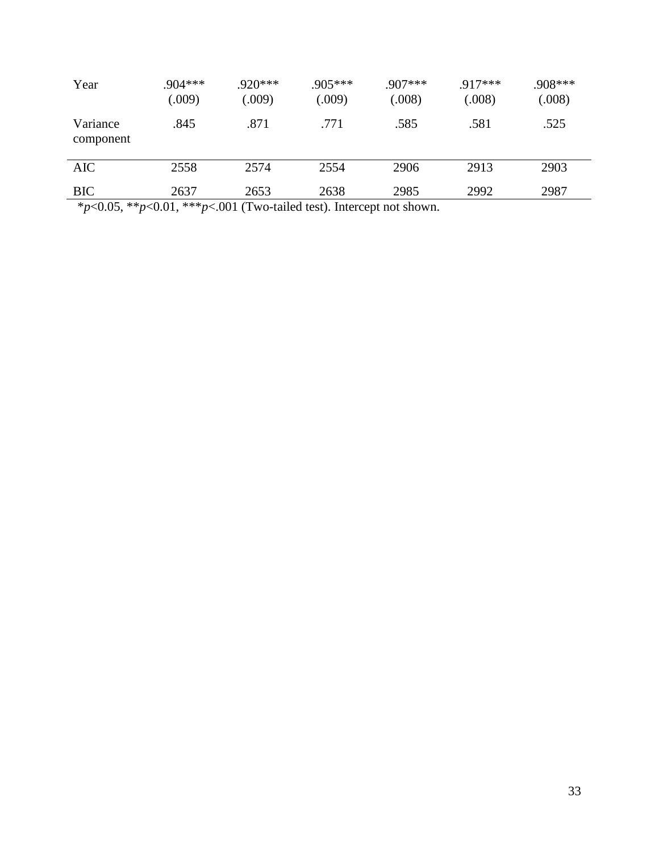| Year                  | $.904***$<br>(.009) | $.920***$<br>(.009) | $.905***$<br>(.009) | $.907***$<br>(.008) | $.917***$<br>(.008) | .908***<br>(.008) |
|-----------------------|---------------------|---------------------|---------------------|---------------------|---------------------|-------------------|
| Variance<br>component | .845                | .871                | .771                | .585                | .581                | .525              |
| <b>AIC</b>            | 2558                | 2574                | 2554                | 2906                | 2913                | 2903              |
| <b>BIC</b>            | 2637                | 2653                | 2638                | 2985                | 2992                | 2987              |

\**p*<0.05, \*\**p*<0.01, \*\*\**p*<.001 (Two-tailed test). Intercept not shown.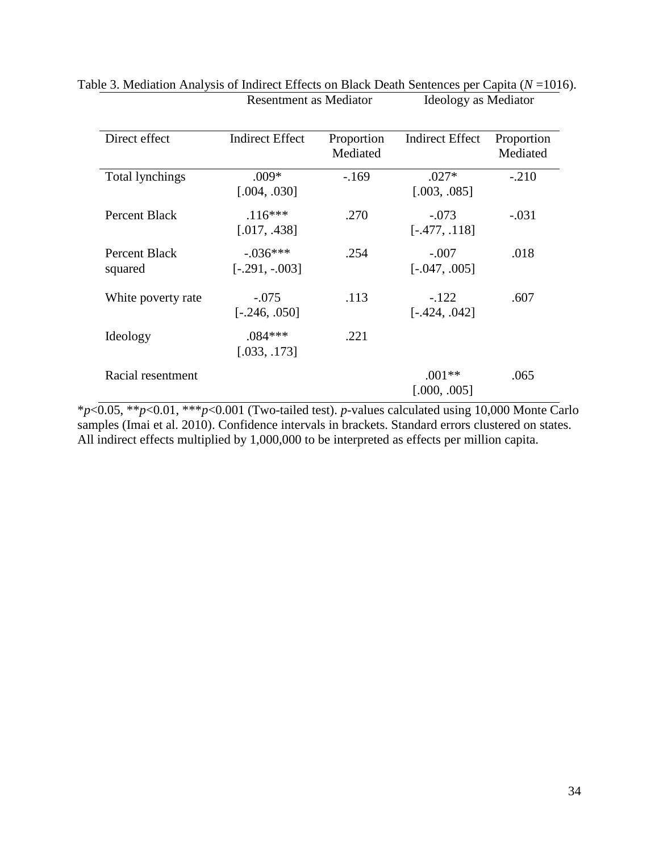| Direct effect            | <b>Indirect Effect</b>        | Proportion<br>Mediated | <b>Indirect Effect</b>     | Proportion<br>Mediated |
|--------------------------|-------------------------------|------------------------|----------------------------|------------------------|
| Total lynchings          | $.009*$<br>[.004, .030]       | $-169$                 | $.027*$<br>[.003, .085]    | $-.210$                |
| <b>Percent Black</b>     | $.116***$<br>[.017, .438]     | .270                   | $-.073$<br>$[-.477, .118]$ | $-.031$                |
| Percent Black<br>squared | $-.036***$<br>$[-.291, -003]$ | .254                   | $-.007$<br>$[-.047, .005]$ | .018                   |
| White poverty rate       | $-.075$<br>$[-.246, .050]$    | .113                   | $-.122$<br>$[-.424, .042]$ | .607                   |
| Ideology                 | $.084***$<br>[.033, .173]     | .221                   |                            |                        |
| Racial resentment        |                               |                        | $.001**$<br>[.000, .005]   | .065                   |

# Table 3. Mediation Analysis of Indirect Effects on Black Death Sentences per Capita (*N* = 1016).<br>Resentment as Mediator Ideology as Mediator Resentment as Mediator

\**p*<0.05, \*\**p*<0.01, \*\*\**p*<0.001 (Two-tailed test). *p*-values calculated using 10,000 Monte Carlo samples (Imai et al. 2010). Confidence intervals in brackets. Standard errors clustered on states. All indirect effects multiplied by 1,000,000 to be interpreted as effects per million capita.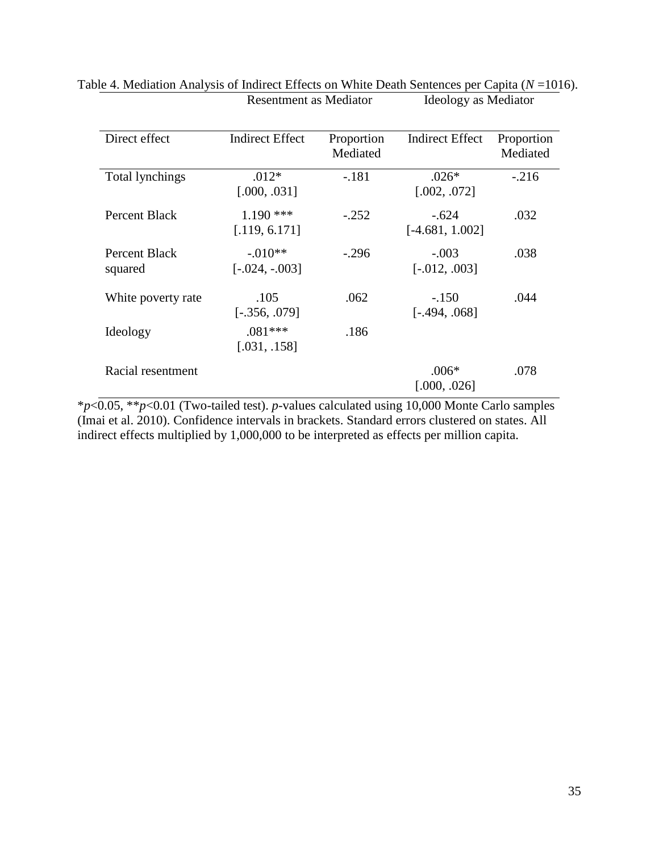| Direct effect            | <b>Indirect Effect</b>        | Proportion<br>Mediated | <b>Indirect Effect</b>       | Proportion<br>Mediated |
|--------------------------|-------------------------------|------------------------|------------------------------|------------------------|
| Total lynchings          | $.012*$<br>[.000, .031]       | $-.181$                | $.026*$<br>[.002, .072]      | $-.216$                |
| Percent Black            | $1.190$ ***<br>[.119, 6.171]  | $-.252$                | $-.624$<br>$[-4.681, 1.002]$ | .032                   |
| Percent Black<br>squared | $-.010**$<br>$[-.024, -.003]$ | $-.296$                | $-.003$<br>$[-.012, .003]$   | .038                   |
| White poverty rate       | .105<br>$[-.356, .079]$       | .062                   | $-.150$<br>$[-.494, .068]$   | .044                   |
| Ideology                 | $.081***$<br>[.031, .158]     | .186                   |                              |                        |
| Racial resentment        |                               |                        | $.006*$<br>[.000, .026]      | .078                   |

# Table 4. Mediation Analysis of Indirect Effects on White Death Sentences per Capita (*N* = 1016).<br>Resentment as Mediator Ideology as Mediator Resentment as Mediator

\**p*<0.05, \*\**p*<0.01 (Two-tailed test). *p*-values calculated using 10,000 Monte Carlo samples (Imai et al. 2010). Confidence intervals in brackets. Standard errors clustered on states. All indirect effects multiplied by 1,000,000 to be interpreted as effects per million capita.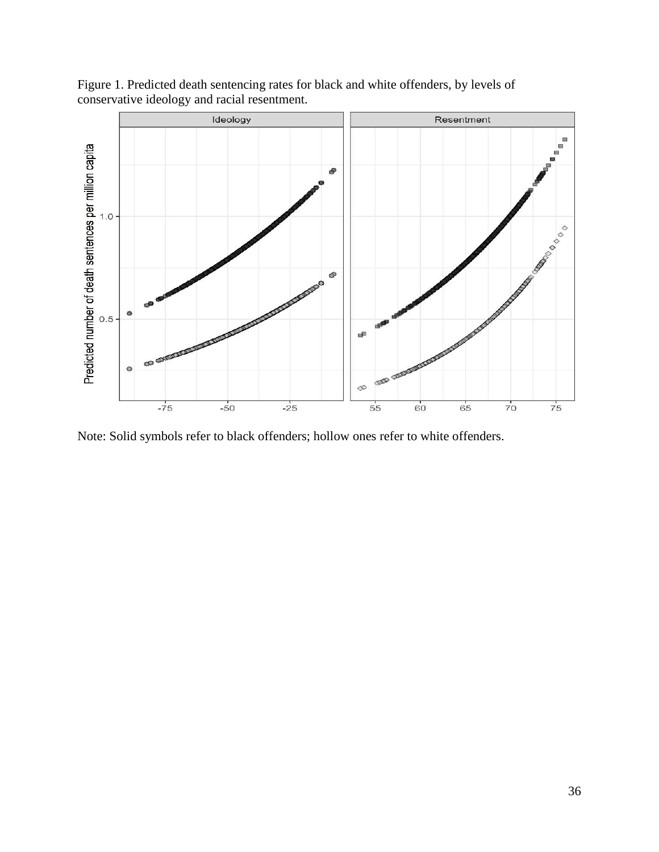Figure 1. Predicted death sentencing rates for black and white offenders, by levels of conservative ideology and racial resentment.



Note: Solid symbols refer to black offenders; hollow ones refer to white offenders.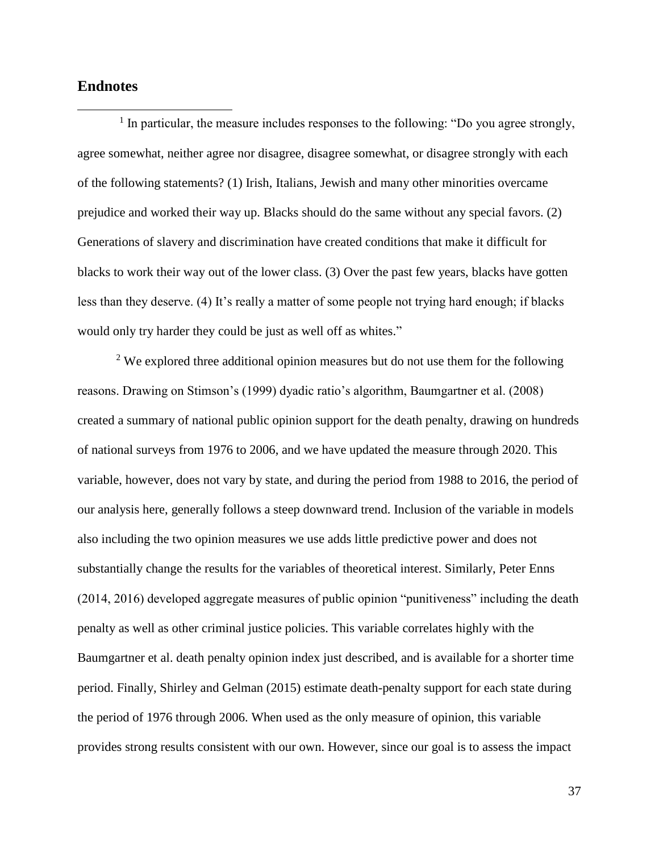# **Endnotes**

 $\overline{a}$ 

 $<sup>1</sup>$  In particular, the measure includes responses to the following: "Do you agree strongly,</sup> agree somewhat, neither agree nor disagree, disagree somewhat, or disagree strongly with each of the following statements? (1) Irish, Italians, Jewish and many other minorities overcame prejudice and worked their way up. Blacks should do the same without any special favors. (2) Generations of slavery and discrimination have created conditions that make it difficult for blacks to work their way out of the lower class. (3) Over the past few years, blacks have gotten less than they deserve. (4) It's really a matter of some people not trying hard enough; if blacks would only try harder they could be just as well off as whites."

<sup>2</sup> We explored three additional opinion measures but do not use them for the following reasons. Drawing on Stimson's (1999) dyadic ratio's algorithm, Baumgartner et al. (2008) created a summary of national public opinion support for the death penalty, drawing on hundreds of national surveys from 1976 to 2006, and we have updated the measure through 2020. This variable, however, does not vary by state, and during the period from 1988 to 2016, the period of our analysis here, generally follows a steep downward trend. Inclusion of the variable in models also including the two opinion measures we use adds little predictive power and does not substantially change the results for the variables of theoretical interest. Similarly, Peter Enns (2014, 2016) developed aggregate measures of public opinion "punitiveness" including the death penalty as well as other criminal justice policies. This variable correlates highly with the Baumgartner et al. death penalty opinion index just described, and is available for a shorter time period. Finally, Shirley and Gelman (2015) estimate death-penalty support for each state during the period of 1976 through 2006. When used as the only measure of opinion, this variable provides strong results consistent with our own. However, since our goal is to assess the impact